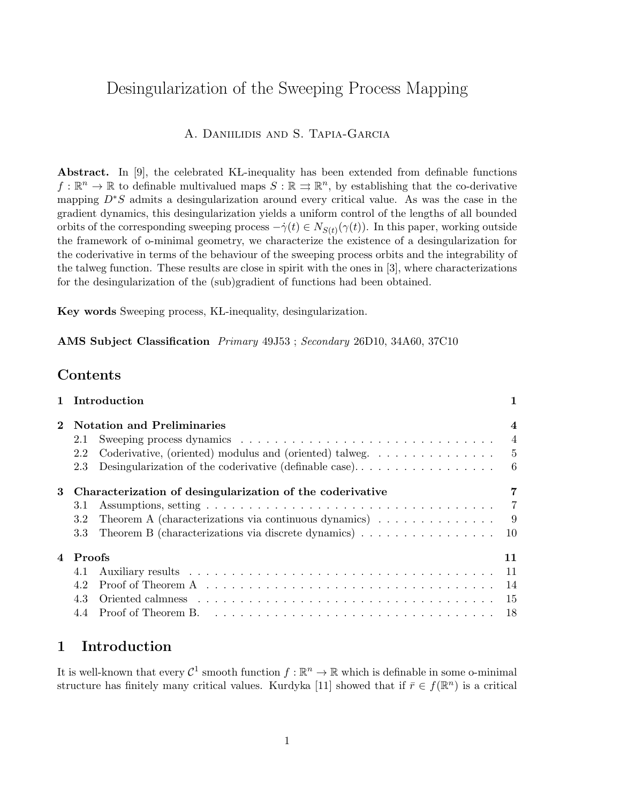# Desingularization of the Sweeping Process Mapping

## A. Daniilidis and S. Tapia-Garcia

Abstract. In  $[9]$ , the celebrated KL-inequality has been extended from definable functions  $f: \mathbb{R}^n \to \mathbb{R}$  to definable multivalued maps  $S: \mathbb{R} \to \mathbb{R}^n$ , by establishing that the co-derivative mapping D∗S admits a desingularization around every critical value. As was the case in the gradient dynamics, this desingularization yields a uniform control of the lengths of all bounded orbits of the corresponding sweeping process  $-\dot{\gamma}(t) \in N_{S(t)}(\gamma(t))$ . In this paper, working outside the framework of o-minimal geometry, we characterize the existence of a desingularization for the coderivative in terms of the behaviour of the sweeping process orbits and the integrability of the talweg function. These results are close in spirit with the ones in [3], where characterizations for the desingularization of the (sub)gradient of functions had been obtained.

Key words Sweeping process, KL-inequality, desingularization.

AMS Subject Classification Primary 49J53 ; Secondary 26D10, 34A60, 37C10

## Contents

|   | 1 Introduction                                                                                            | 1              |
|---|-----------------------------------------------------------------------------------------------------------|----------------|
|   | 2 Notation and Preliminaries                                                                              | $\overline{4}$ |
|   | 2.1                                                                                                       | $\overline{4}$ |
|   | Coderivative, (oriented) modulus and (oriented) talweg. $\dots \dots \dots \dots \dots$<br>2.2            |                |
|   | 2.3                                                                                                       |                |
| 3 | Characterization of desingularization of the coderivative                                                 | 7              |
|   | 3.1                                                                                                       |                |
|   | Theorem A (characterizations via continuous dynamics) $\ldots \ldots \ldots \ldots$<br>3.2                |                |
|   | Theorem B (characterizations via discrete dynamics) $\ldots \ldots \ldots \ldots \ldots \ldots$ 10<br>3.3 |                |
|   | 4 Proofs                                                                                                  | 11             |
|   | 4.1                                                                                                       |                |
|   | 4.2                                                                                                       |                |
|   | 4.3                                                                                                       |                |
|   |                                                                                                           |                |

## 1 Introduction

It is well-known that every  $\mathcal{C}^1$  smooth function  $f : \mathbb{R}^n \to \mathbb{R}$  which is definable in some o-minimal structure has finitely many critical values. Kurdyka [11] showed that if  $\bar{r} \in f(\mathbb{R}^n)$  is a critical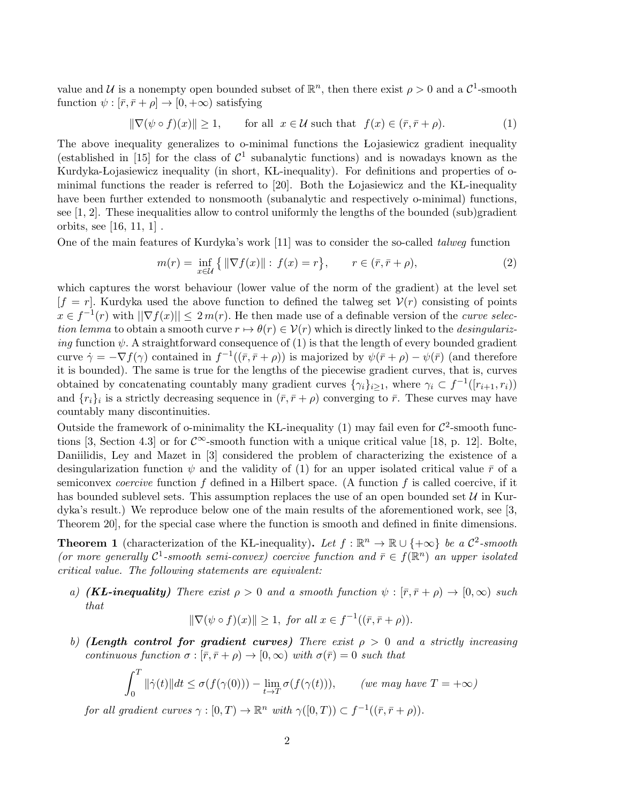value and U is a nonempty open bounded subset of  $\mathbb{R}^n$ , then there exist  $\rho > 0$  and a  $\mathcal{C}^1$ -smooth function  $\psi : [\bar{r}, \bar{r} + \rho] \to [0, +\infty)$  satisfying

$$
\|\nabla(\psi \circ f)(x)\| \ge 1, \quad \text{for all } x \in \mathcal{U} \text{ such that } f(x) \in (\bar{r}, \bar{r} + \rho). \tag{1}
$$

The above inequality generalizes to o-minimal functions the Lojasiewicz gradient inequality (established in [15] for the class of  $\mathcal{C}^1$  subanalytic functions) and is nowadays known as the Kurdyka-Lojasiewicz inequality (in short, KL-inequality). For definitions and properties of ominimal functions the reader is referred to  $[20]$ . Both the Lojasiewicz and the KL-inequality have been further extended to nonsmooth (subanalytic and respectively o-minimal) functions, see [1, 2]. These inequalities allow to control uniformly the lengths of the bounded (sub)gradient orbits, see [16, 11, 1] .

One of the main features of Kurdyka's work [11] was to consider the so-called talweg function

$$
m(r) = \inf_{x \in \mathcal{U}} \{ \| \nabla f(x) \| : f(x) = r \}, \qquad r \in (\bar{r}, \bar{r} + \rho), \tag{2}
$$

which captures the worst behaviour (lower value of the norm of the gradient) at the level set  $[f = r]$ . Kurdyka used the above function to defined the talweg set  $V(r)$  consisting of points  $x \in f^{-1}(r)$  with  $\|\nabla f(x)\| \leq 2m(r)$ . He then made use of a definable version of the *curve selec*tion lemma to obtain a smooth curve  $r \mapsto \theta(r) \in V(r)$  which is directly linked to the *desingulariz*ing function  $\psi$ . A straightforward consequence of (1) is that the length of every bounded gradient curve  $\dot{\gamma} = -\nabla f(\gamma)$  contained in  $f^{-1}((\bar{r}, \bar{r} + \rho))$  is majorized by  $\psi(\bar{r} + \rho) - \psi(\bar{r})$  (and therefore it is bounded). The same is true for the lengths of the piecewise gradient curves, that is, curves obtained by concatenating countably many gradient curves  $\{\gamma_i\}_{i\geq 1}$ , where  $\gamma_i \subset f^{-1}([r_{i+1}, r_i))$ and  $\{r_i\}_i$  is a strictly decreasing sequence in  $(\bar{r}, \bar{r} + \rho)$  converging to  $\bar{r}$ . These curves may have countably many discontinuities.

Outside the framework of o-minimality the KL-inequality (1) may fail even for  $\mathcal{C}^2$ -smooth functions [3, Section 4.3] or for  $\mathcal{C}^{\infty}$ -smooth function with a unique critical value [18, p. 12]. Bolte, Daniilidis, Ley and Mazet in [3] considered the problem of characterizing the existence of a desingularization function  $\psi$  and the validity of (1) for an upper isolated critical value  $\bar{r}$  of a semiconvex *coercive* function f defined in a Hilbert space. (A function f is called coercive, if it has bounded sublevel sets. This assumption replaces the use of an open bounded set  $\mathcal{U}$  in Kurdyka's result.) We reproduce below one of the main results of the aforementioned work, see [3, Theorem 20], for the special case where the function is smooth and defined in finite dimensions.

**Theorem 1** (characterization of the KL-inequality). Let  $f : \mathbb{R}^n \to \mathbb{R} \cup \{+\infty\}$  be a  $\mathcal{C}^2$ -smooth (or more generally  $\mathcal{C}^1$ -smooth semi-convex) coercive function and  $\bar{r} \in f(\mathbb{R}^n)$  an upper isolated critical value. The following statements are equivalent:

a) (KL-inequality) There exist  $\rho > 0$  and a smooth function  $\psi : [\bar{r}, \bar{r} + \rho] \to [0, \infty)$  such that

$$
\|\nabla(\psi \circ f)(x)\| \ge 1, \text{ for all } x \in f^{-1}((\bar{r}, \bar{r} + \rho)).
$$

b) (Length control for gradient curves) There exist  $\rho > 0$  and a strictly increasing continuous function  $\sigma : [\bar{r}, \bar{r} + \rho) \to [0, \infty)$  with  $\sigma(\bar{r}) = 0$  such that

$$
\int_0^T \|\dot{\gamma}(t)\|dt \le \sigma(f(\gamma(0))) - \lim_{t \to T} \sigma(f(\gamma(t))), \qquad (we \ may \ have \ T = +\infty)
$$

for all gradient curves  $\gamma : [0, T) \to \mathbb{R}^n$  with  $\gamma([0, T)) \subset f^{-1}((\bar{r}, \bar{r} + \rho)).$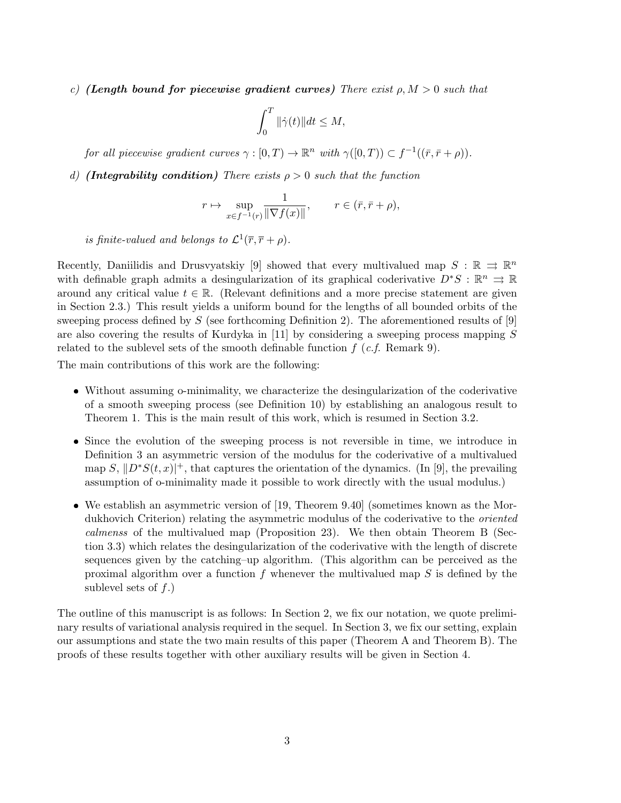c) (Length bound for piecewise gradient curves) There exist  $\rho, M > 0$  such that

$$
\int_0^T \|\dot{\gamma}(t)\|dt \le M,
$$

for all piecewise gradient curves  $\gamma : [0, T) \to \mathbb{R}^n$  with  $\gamma([0, T)) \subset f^{-1}((\bar{r}, \bar{r} + \rho)).$ 

d) (Integrability condition) There exists  $\rho > 0$  such that the function

$$
r \mapsto \sup_{x \in f^{-1}(r)} \frac{1}{\|\nabla f(x)\|}, \qquad r \in (\bar{r}, \bar{r} + \rho),
$$

is finite-valued and belongs to  $\mathcal{L}^1(\overline{r}, \overline{r} + \rho)$ .

Recently, Daniilidis and Drusvyatskiy [9] showed that every multivalued map  $S : \mathbb{R} \implies \mathbb{R}^n$ with definable graph admits a desingularization of its graphical coderivative  $D^*S : \mathbb{R}^n \implies \mathbb{R}$ around any critical value  $t \in \mathbb{R}$ . (Relevant definitions and a more precise statement are given in Section 2.3.) This result yields a uniform bound for the lengths of all bounded orbits of the sweeping process defined by  $S$  (see forthcoming Definition 2). The aforementioned results of [9] are also covering the results of Kurdyka in [11] by considering a sweeping process mapping  $S$ related to the sublevel sets of the smooth definable function  $f(c.f.$  Remark 9).

The main contributions of this work are the following:

- Without assuming o-minimality, we characterize the desingularization of the coderivative of a smooth sweeping process (see Definition 10) by establishing an analogous result to Theorem 1. This is the main result of this work, which is resumed in Section 3.2.
- Since the evolution of the sweeping process is not reversible in time, we introduce in Definition 3 an asymmetric version of the modulus for the coderivative of a multivalued map  $S, ||D^*S(t, x)|^+$ , that captures the orientation of the dynamics. (In [9], the prevailing assumption of o-minimality made it possible to work directly with the usual modulus.)
- We establish an asymmetric version of [19, Theorem 9.40] (sometimes known as the Mordukhovich Criterion) relating the asymmetric modulus of the coderivative to the *oriented* calmenss of the multivalued map (Proposition 23). We then obtain Theorem B (Section 3.3) which relates the desingularization of the coderivative with the length of discrete sequences given by the catching–up algorithm. (This algorithm can be perceived as the proximal algorithm over a function  $f$  whenever the multivalued map  $S$  is defined by the sublevel sets of  $f$ .)

The outline of this manuscript is as follows: In Section 2, we fix our notation, we quote preliminary results of variational analysis required in the sequel. In Section 3, we fix our setting, explain our assumptions and state the two main results of this paper (Theorem A and Theorem B). The proofs of these results together with other auxiliary results will be given in Section 4.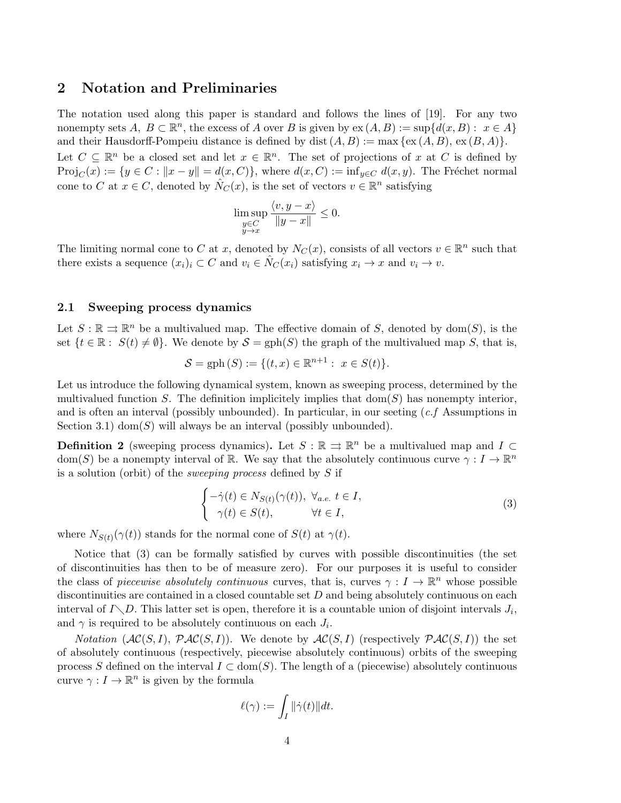## 2 Notation and Preliminaries

The notation used along this paper is standard and follows the lines of [19]. For any two nonempty sets  $A, B \subset \mathbb{R}^n$ , the excess of A over B is given by  $ex(A, B) := sup{d(x, B) : x \in A}$ and their Hausdorff-Pompeiu distance is defined by dist  $(A, B) := \max \{ex(A, B), ex(B, A)\}.$ Let  $C \subseteq \mathbb{R}^n$  be a closed set and let  $x \in \mathbb{R}^n$ . The set of projections of x at C is defined by

 $Proj_C(x) := \{y \in C : ||x - y|| = d(x, C)\}\$ , where  $d(x, C) := inf_{y \in C} d(x, y)$ . The Fréchet normal cone to C at  $x \in C$ , denoted by  $\hat{N}_C(x)$ , is the set of vectors  $v \in \mathbb{R}^n$  satisfying

$$
\limsup_{\substack{y \in C \\ y \to x}} \frac{\langle v, y - x \rangle}{\|y - x\|} \le 0.
$$

The limiting normal cone to C at x, denoted by  $N_C(x)$ , consists of all vectors  $v \in \mathbb{R}^n$  such that there exists a sequence  $(x_i)_i \subset C$  and  $v_i \in \hat{N}_C(x_i)$  satisfying  $x_i \to x$  and  $v_i \to v$ .

#### 2.1 Sweeping process dynamics

Let  $S : \mathbb{R} \rightrightarrows \mathbb{R}^n$  be a multivalued map. The effective domain of S, denoted by dom(S), is the set  $\{t \in \mathbb{R}: S(t) \neq \emptyset\}$ . We denote by  $\mathcal{S} = \text{gph}(S)$  the graph of the multivalued map S, that is,

$$
S = \text{gph}(S) := \{(t, x) \in \mathbb{R}^{n+1} : x \in S(t)\}.
$$

Let us introduce the following dynamical system, known as sweeping process, determined by the multivalued function S. The definition implicitely implies that  $dom(S)$  has nonempty interior, and is often an interval (possibly unbounded). In particular, in our seeting  $(c.f)$  Assumptions in Section 3.1) dom $(S)$  will always be an interval (possibly unbounded).

**Definition 2** (sweeping process dynamics). Let  $S : \mathbb{R} \implies \mathbb{R}^n$  be a multivalued map and  $I \subset$ dom(S) be a nonempty interval of R. We say that the absolutely continuous curve  $\gamma: I \to \mathbb{R}^n$ is a solution (orbit) of the sweeping process defined by S if

$$
\begin{cases}\n-\dot{\gamma}(t) \in N_{S(t)}(\gamma(t)), \ \forall_{a.e.} \ t \in I, \\
\gamma(t) \in S(t), \qquad \forall t \in I,\n\end{cases}
$$
\n(3)

where  $N_{S(t)}(\gamma(t))$  stands for the normal cone of  $S(t)$  at  $\gamma(t)$ .

Notice that (3) can be formally satisfied by curves with possible discontinuities (the set of discontinuities has then to be of measure zero). For our purposes it is useful to consider the class of *piecewise absolutely continuous* curves, that is, curves  $\gamma: I \to \mathbb{R}^n$  whose possible discontinuities are contained in a closed countable set  $D$  and being absolutely continuous on each interval of  $I \setminus D$ . This latter set is open, therefore it is a countable union of disjoint intervals  $J_i$ , and  $\gamma$  is required to be absolutely continuous on each  $J_i$ .

*Notation*  $(\mathcal{AC}(S, I), \mathcal{PAC}(S, I))$ *.* We denote by  $\mathcal{AC}(S, I)$  (respectively  $\mathcal{PAC}(S, I)$ ) the set of absolutely continuous (respectively, piecewise absolutely continuous) orbits of the sweeping process S defined on the interval  $I \subset \text{dom}(S)$ . The length of a (piecewise) absolutely continuous curve  $\gamma: I \to \mathbb{R}^n$  is given by the formula

$$
\ell(\gamma) := \int_I \|\dot{\gamma}(t)\|dt.
$$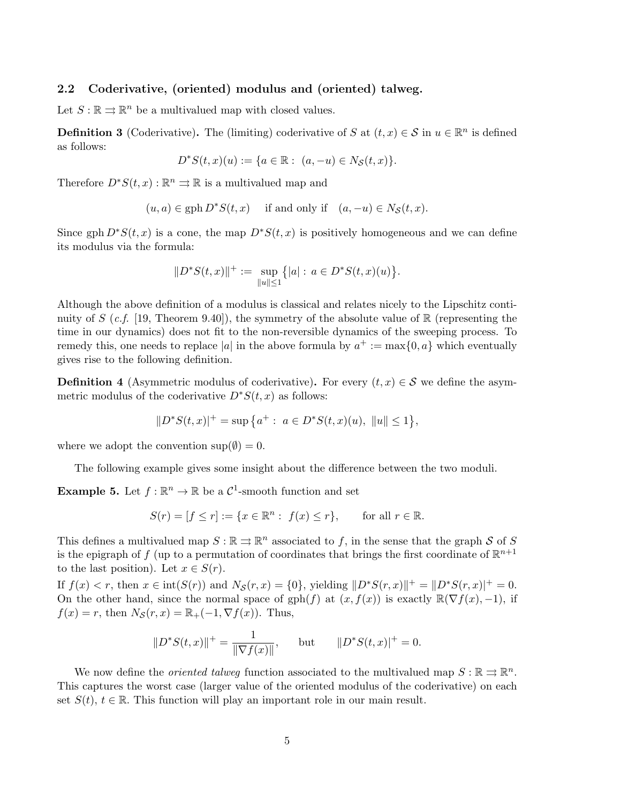### 2.2 Coderivative, (oriented) modulus and (oriented) talweg.

Let  $S : \mathbb{R} \rightrightarrows \mathbb{R}^n$  be a multivalued map with closed values.

**Definition 3** (Coderivative). The (limiting) coderivative of S at  $(t, x) \in S$  in  $u \in \mathbb{R}^n$  is defined as follows:

$$
D^*S(t, x)(u) := \{ a \in \mathbb{R} : (a, -u) \in N_S(t, x) \}.
$$

Therefore  $D^*S(t, x): \mathbb{R}^n \rightrightarrows \mathbb{R}$  is a multivalued map and

$$
(u, a) \in \text{gph } D^*S(t, x)
$$
 if and only if  $(a, -u) \in N_S(t, x)$ .

Since gph  $D^*S(t, x)$  is a cone, the map  $D^*S(t, x)$  is positively homogeneous and we can define its modulus via the formula:

$$
||D^*S(t,x)||^+ := \sup_{||u|| \le 1} \{|a| : a \in D^*S(t,x)(u)\}.
$$

Although the above definition of a modulus is classical and relates nicely to the Lipschitz continuity of S (c.f. [19, Theorem 9.40]), the symmetry of the absolute value of  $\mathbb R$  (representing the time in our dynamics) does not fit to the non-reversible dynamics of the sweeping process. To remedy this, one needs to replace |a| in the above formula by  $a^+ := \max\{0, a\}$  which eventually gives rise to the following definition.

**Definition 4** (Asymmetric modulus of coderivative). For every  $(t, x) \in S$  we define the asymmetric modulus of the coderivative  $D^*S(t, x)$  as follows:

$$
||D^*S(t,x)|^+ = \sup \{a^+ : a \in D^*S(t,x)(u), ||u|| \le 1\},\
$$

where we adopt the convention  $\sup(\emptyset) = 0$ .

The following example gives some insight about the difference between the two moduli.

**Example 5.** Let  $f : \mathbb{R}^n \to \mathbb{R}$  be a  $\mathcal{C}^1$ -smooth function and set

$$
S(r) = [f \le r] := \{x \in \mathbb{R}^n : f(x) \le r\}, \quad \text{for all } r \in \mathbb{R}.
$$

This defines a multivalued map  $S : \mathbb{R} \rightrightarrows \mathbb{R}^n$  associated to f, in the sense that the graph S of S is the epigraph of f (up to a permutation of coordinates that brings the first coordinate of  $\mathbb{R}^{n+1}$ to the last position). Let  $x \in S(r)$ .

If  $f(x) < r$ , then  $x \in \text{int}(S(r))$  and  $N_{\mathcal{S}}(r, x) = \{0\}$ , yielding  $||D^*S(r, x)||^+ = ||D^*S(r, x)||^+ = 0$ . On the other hand, since the normal space of gph(f) at  $(x, f(x))$  is exactly  $\mathbb{R}(\nabla f(x), -1)$ , if  $f(x) = r$ , then  $N_{\mathcal{S}}(r, x) = \mathbb{R}_{+}(-1, \nabla f(x))$ . Thus,

$$
||D^*S(t,x)||^+ = \frac{1}{||\nabla f(x)||}
$$
, but  $||D^*S(t,x)||^+ = 0$ .

We now define the *oriented talweg* function associated to the multivalued map  $S : \mathbb{R} \rightrightarrows \mathbb{R}^n$ . This captures the worst case (larger value of the oriented modulus of the coderivative) on each set  $S(t)$ ,  $t \in \mathbb{R}$ . This function will play an important role in our main result.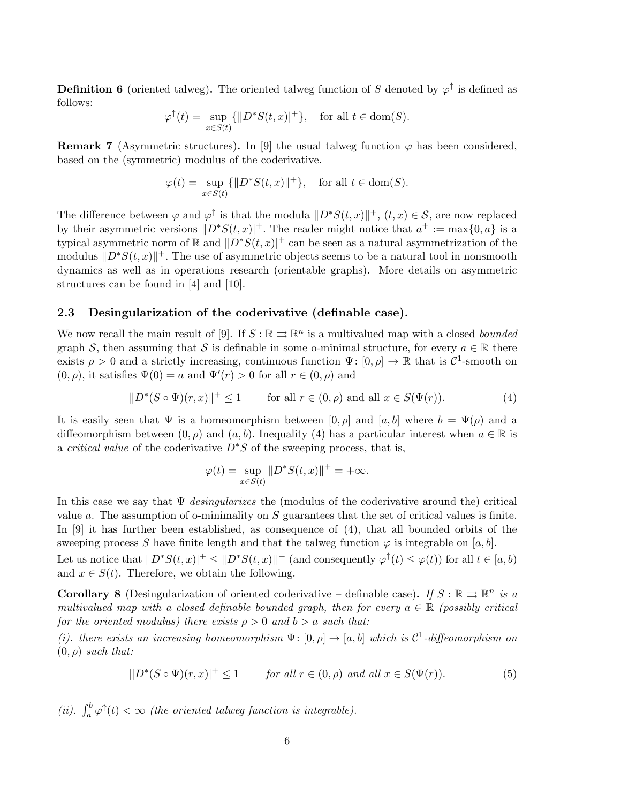**Definition 6** (oriented talweg). The oriented talweg function of S denoted by  $\varphi^{\uparrow}$  is defined as follows:

$$
\varphi^{\uparrow}(t) = \sup_{x \in S(t)} \{ ||D^*S(t, x)|^+ \}, \quad \text{for all } t \in \text{dom}(S).
$$

**Remark 7** (Asymmetric structures). In [9] the usual talweg function  $\varphi$  has been considered, based on the (symmetric) modulus of the coderivative.

$$
\varphi(t) = \sup_{x \in S(t)} \{ ||D^*S(t, x)||^+ \}, \quad \text{for all } t \in \text{dom}(S).
$$

The difference between  $\varphi$  and  $\varphi^{\uparrow}$  is that the modula  $||D^*S(t, x)||^+,$   $(t, x) \in S$ , are now replaced by their asymmetric versions  $\|D^*S(t, x)|^+$ . The reader might notice that  $a^+ := \max\{0, a\}$  is a typical asymmetric norm of R and  $\|D^*S(t, x)|^+$  can be seen as a natural asymmetrization of the modulus  $||D^*S(t, x)||^+$ . The use of asymmetric objects seems to be a natural tool in nonsmooth dynamics as well as in operations research (orientable graphs). More details on asymmetric structures can be found in [4] and [10].

#### 2.3 Desingularization of the coderivative (definable case).

We now recall the main result of [9]. If  $S : \mathbb{R} \rightrightarrows \mathbb{R}^n$  is a multivalued map with a closed *bounded* graph S, then assuming that S is definable in some o-minimal structure, for every  $a \in \mathbb{R}$  there exists  $\rho > 0$  and a strictly increasing, continuous function  $\Psi: [0, \rho] \to \mathbb{R}$  that is  $\mathcal{C}^1$ -smooth on  $(0, \rho)$ , it satisfies  $\Psi(0) = a$  and  $\Psi'(r) > 0$  for all  $r \in (0, \rho)$  and

$$
||D^*(S \circ \Psi)(r, x)||^+ \le 1 \qquad \text{for all } r \in (0, \rho) \text{ and all } x \in S(\Psi(r)).
$$
 (4)

It is easily seen that  $\Psi$  is a homeomorphism between  $[0, \rho]$  and  $[a, b]$  where  $b = \Psi(\rho)$  and a diffeomorphism between  $(0, \rho)$  and  $(a, b)$ . Inequality (4) has a particular interest when  $a \in \mathbb{R}$  is a *critical value* of the coderivative  $D^*S$  of the sweeping process, that is,

$$
\varphi(t) = \sup_{x \in S(t)} \|D^*S(t, x)\|^+ = +\infty.
$$

In this case we say that  $\Psi$  *desingularizes* the (modulus of the coderivative around the) critical value  $a$ . The assumption of o-minimality on  $S$  guarantees that the set of critical values is finite. In [9] it has further been established, as consequence of (4), that all bounded orbits of the sweeping process S have finite length and that the talweg function  $\varphi$  is integrable on [a, b]. Let us notice that  $||D^*S(t, x)||^+ \leq ||D^*S(t, x)||^+$  (and consequently  $\varphi^{\uparrow}(t) \leq \varphi(t)$ ) for all  $t \in [a, b)$ and  $x \in S(t)$ . Therefore, we obtain the following.

**Corollary 8** (Desingularization of oriented coderivative – definable case). If  $S : \mathbb{R} \implies \mathbb{R}^n$  is a multivalued map with a closed definable bounded graph, then for every  $a \in \mathbb{R}$  (possibly critical for the oriented modulus) there exists  $\rho > 0$  and  $b > a$  such that:

(i). there exists an increasing homeomorphism  $\Psi: [0, \rho] \to [a, b]$  which is  $\mathcal{C}^1$ -diffeomorphism on  $(0, \rho)$  such that:

$$
||D^*(S \circ \Psi)(r, x)||^+ \le 1 \qquad \text{for all } r \in (0, \rho) \text{ and all } x \in S(\Psi(r)).
$$
 (5)

(ii).  $\int_a^b \varphi^{\uparrow}(t) < \infty$  (the oriented talweg function is integrable).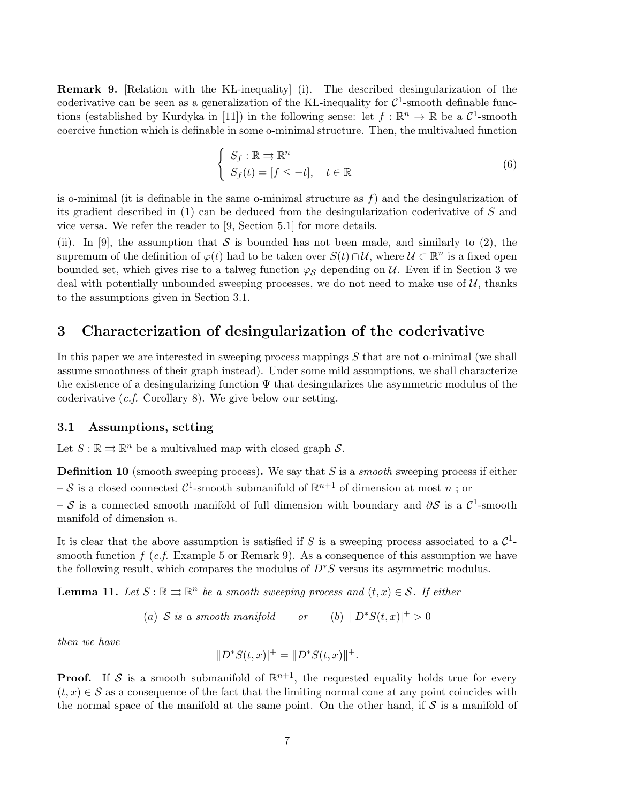**Remark 9.** [Relation with the KL-inequality] (i). The described desingularization of the coderivative can be seen as a generalization of the KL-inequality for  $C^1$ -smooth definable functions (established by Kurdyka in [11]) in the following sense: let  $f : \mathbb{R}^n \to \mathbb{R}$  be a  $\mathcal{C}^1$ -smooth coercive function which is definable in some o-minimal structure. Then, the multivalued function

$$
\begin{cases}\nS_f: \mathbb{R} \implies \mathbb{R}^n \\
S_f(t) = [f \le -t], \quad t \in \mathbb{R}\n\end{cases} \tag{6}
$$

is o-minimal (it is definable in the same o-minimal structure as  $f$ ) and the desingularization of its gradient described in (1) can be deduced from the desingularization coderivative of S and vice versa. We refer the reader to [9, Section 5.1] for more details.

(ii). In [9], the assumption that S is bounded has not been made, and similarly to (2), the supremum of the definition of  $\varphi(t)$  had to be taken over  $S(t) \cap U$ , where  $U \subset \mathbb{R}^n$  is a fixed open bounded set, which gives rise to a talweg function  $\varphi_{\mathcal{S}}$  depending on U. Even if in Section 3 we deal with potentially unbounded sweeping processes, we do not need to make use of  $\mathcal{U}$ , thanks to the assumptions given in Section 3.1.

## 3 Characterization of desingularization of the coderivative

In this paper we are interested in sweeping process mappings S that are not o-minimal (we shall assume smoothness of their graph instead). Under some mild assumptions, we shall characterize the existence of a desingularizing function  $\Psi$  that desingularizes the asymmetric modulus of the coderivative (c.f. Corollary 8). We give below our setting.

#### 3.1 Assumptions, setting

Let  $S : \mathbb{R} \rightrightarrows \mathbb{R}^n$  be a multivalued map with closed graph S.

**Definition 10** (smooth sweeping process). We say that  $S$  is a *smooth* sweeping process if either  $-\mathcal{S}$  is a closed connected  $\mathcal{C}^1$ -smooth submanifold of  $\mathbb{R}^{n+1}$  of dimension at most  $n$ ; or - S is a connected smooth manifold of full dimension with boundary and  $\partial S$  is a  $\mathcal{C}^1$ -smooth manifold of dimension n.

It is clear that the above assumption is satisfied if S is a sweeping process associated to a  $\mathcal{C}^1$ smooth function  $f(c.f.$  Example 5 or Remark 9). As a consequence of this assumption we have the following result, which compares the modulus of  $D^*S$  versus its asymmetric modulus.

**Lemma 11.** Let  $S : \mathbb{R} \rightrightarrows \mathbb{R}^n$  be a smooth sweeping process and  $(t, x) \in S$ . If either

(a)  $S$  is a smooth manifold or (b)  $||D^*S(t,x)|^+ > 0$ 

then we have

$$
||D^*S(t, x)|^+ = ||D^*S(t, x)||^+.
$$

**Proof.** If S is a smooth submanifold of  $\mathbb{R}^{n+1}$ , the requested equality holds true for every  $(t, x) \in S$  as a consequence of the fact that the limiting normal cone at any point coincides with the normal space of the manifold at the same point. On the other hand, if  $\mathcal S$  is a manifold of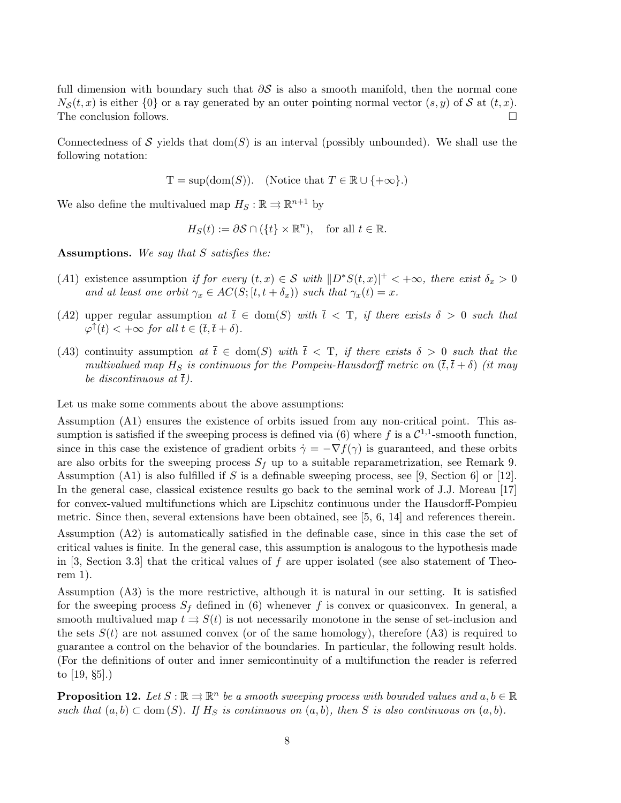full dimension with boundary such that  $\partial S$  is also a smooth manifold, then the normal cone  $N_{\mathcal{S}}(t,x)$  is either  $\{0\}$  or a ray generated by an outer pointing normal vector  $(s, y)$  of S at  $(t, x)$ . The conclusion follows.  $\Box$ 

Connectedness of S yields that  $dom(S)$  is an interval (possibly unbounded). We shall use the following notation:

$$
T = \sup(\text{dom}(S)). \quad (\text{Notice that } T \in \mathbb{R} \cup \{+\infty\}).
$$

We also define the multivalued map  $H_S : \mathbb{R} \rightrightarrows \mathbb{R}^{n+1}$  by

$$
H_S(t) := \partial S \cap (\{t\} \times \mathbb{R}^n), \quad \text{for all } t \in \mathbb{R}.
$$

Assumptions. We say that S satisfies the:

- (A1) existence assumption if for every  $(t, x) \in S$  with  $||D^*S(t, x)||^+ < +\infty$ , there exist  $\delta_x > 0$ and at least one orbit  $\gamma_x \in AC(S; [t, t + \delta_x))$  such that  $\gamma_x(t) = x$ .
- (A2) upper regular assumption at  $\overline{t} \in \text{dom}(S)$  with  $\overline{t} < T$ , if there exists  $\delta > 0$  such that  $\varphi^{\uparrow}(t) < +\infty$  for all  $t \in (\bar{t}, \bar{t} + \delta).$
- (A3) continuity assumption at  $\overline{t} \in \text{dom}(S)$  with  $\overline{t} < T$ , if there exists  $\delta > 0$  such that the multivalued map  $H_S$  is continuous for the Pompeiu-Hausdorff metric on  $(\bar{t}, \bar{t} + \delta)$  (it may be discontinuous at  $\bar{t}$ ).

Let us make some comments about the above assumptions:

Assumption (A1) ensures the existence of orbits issued from any non-critical point. This assumption is satisfied if the sweeping process is defined via (6) where f is a  $\mathcal{C}^{1,1}$ -smooth function, since in this case the existence of gradient orbits  $\dot{\gamma} = -\nabla f(\gamma)$  is guaranteed, and these orbits are also orbits for the sweeping process  $S_f$  up to a suitable reparametrization, see Remark 9. Assumption (A1) is also fulfilled if S is a definable sweeping process, see [9, Section 6] or [12]. In the general case, classical existence results go back to the seminal work of J.J. Moreau [17] for convex-valued multifunctions which are Lipschitz continuous under the Hausdorff-Pompieu metric. Since then, several extensions have been obtained, see [5, 6, 14] and references therein.

Assumption (A2) is automatically satisfied in the definable case, since in this case the set of critical values is finite. In the general case, this assumption is analogous to the hypothesis made in [3, Section 3.3] that the critical values of f are upper isolated (see also statement of Theorem 1).

Assumption (A3) is the more restrictive, although it is natural in our setting. It is satisfied for the sweeping process  $S_f$  defined in (6) whenever f is convex or quasiconvex. In general, a smooth multivalued map  $t \Rightarrow S(t)$  is not necessarily monotone in the sense of set-inclusion and the sets  $S(t)$  are not assumed convex (or of the same homology), therefore (A3) is required to guarantee a control on the behavior of the boundaries. In particular, the following result holds. (For the definitions of outer and inner semicontinuity of a multifunction the reader is referred to [19, §5].)

**Proposition 12.** Let  $S : \mathbb{R} \rightrightarrows \mathbb{R}^n$  be a smooth sweeping process with bounded values and  $a, b \in \mathbb{R}$ such that  $(a, b) \subset \text{dom}(S)$ . If H<sub>S</sub> is continuous on  $(a, b)$ , then S is also continuous on  $(a, b)$ .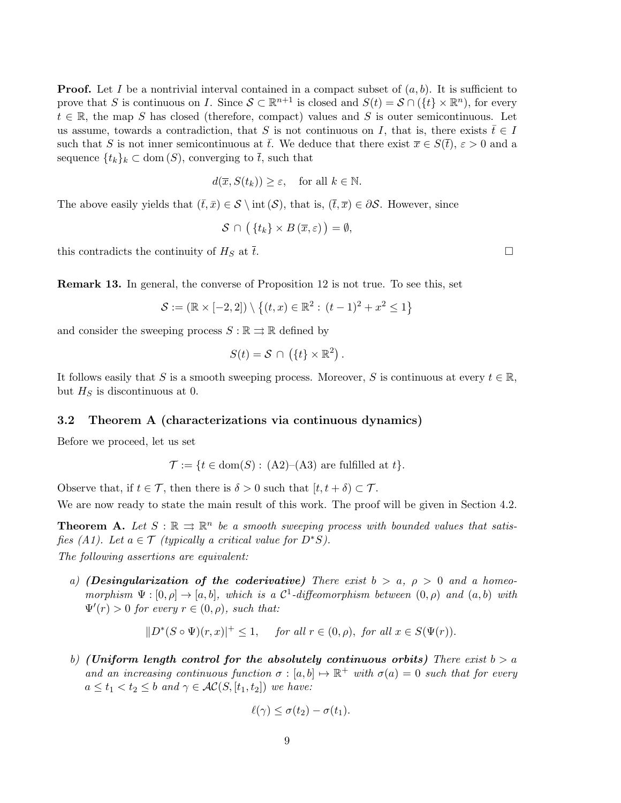**Proof.** Let I be a nontrivial interval contained in a compact subset of  $(a, b)$ . It is sufficient to prove that S is continuous on I. Since  $S \subset \mathbb{R}^{n+1}$  is closed and  $S(t) = S \cap (\{t\} \times \mathbb{R}^n)$ , for every  $t \in \mathbb{R}$ , the map S has closed (therefore, compact) values and S is outer semicontinuous. Let us assume, towards a contradiction, that S is not continuous on I, that is, there exists  $\bar{t} \in I$ such that S is not inner semicontinuous at  $\bar{t}$ . We deduce that there exist  $\bar{x} \in S(\bar{t}), \varepsilon > 0$  and a sequence  $\{t_k\}_k \subset \text{dom}(S)$ , converging to  $\overline{t}$ , such that

$$
d(\overline{x}, S(t_k)) \ge \varepsilon, \quad \text{for all } k \in \mathbb{N}.
$$

The above easily yields that  $(\bar{t},\bar{x}) \in \mathcal{S} \setminus \text{int}(\mathcal{S})$ , that is,  $(\bar{t},\bar{x}) \in \partial \mathcal{S}$ . However, since

$$
\mathcal{S} \cap (\{t_k\} \times B(\overline{x}, \varepsilon)) = \emptyset,
$$

this contradicts the continuity of  $H_S$  at  $\bar{t}$ .

Remark 13. In general, the converse of Proposition 12 is not true. To see this, set

$$
\mathcal{S} := (\mathbb{R} \times [-2, 2]) \setminus \left\{ (t, x) \in \mathbb{R}^2 : (t - 1)^2 + x^2 \le 1 \right\}
$$

and consider the sweeping process  $S : \mathbb{R} \rightrightarrows \mathbb{R}$  defined by

$$
S(t) = \mathcal{S} \cap (\{t\} \times \mathbb{R}^2).
$$

It follows easily that S is a smooth sweeping process. Moreover, S is continuous at every  $t \in \mathbb{R}$ , but  $H<sub>S</sub>$  is discontinuous at 0.

#### 3.2 Theorem A (characterizations via continuous dynamics)

Before we proceed, let us set

$$
\mathcal{T} := \{ t \in \text{dom}(S) : (A2)–(A3) \text{ are fulfilled at } t \}.
$$

Observe that, if  $t \in \mathcal{T}$ , then there is  $\delta > 0$  such that  $[t, t + \delta) \subset \mathcal{T}$ .

We are now ready to state the main result of this work. The proof will be given in Section 4.2.

**Theorem A.** Let  $S : \mathbb{R} \implies \mathbb{R}^n$  be a smooth sweeping process with bounded values that satisfies (A1). Let  $a \in \mathcal{T}$  (typically a critical value for  $D^*S$ ).

The following assertions are equivalent:

a) (Desingularization of the coderivative) There exist  $b > a$ ,  $\rho > 0$  and a homeomorphism  $\Psi : [0, \rho] \to [a, b]$ , which is a  $\mathcal{C}^1$ -diffeomorphism between  $(0, \rho)$  and  $(a, b)$  with  $\Psi'(r) > 0$  for every  $r \in (0, \rho)$ , such that:

$$
||D^*(S \circ \Psi)(r, x)||^+ \le 1, \quad \text{for all } r \in (0, \rho), \text{ for all } x \in S(\Psi(r)).
$$

b) (Uniform length control for the absolutely continuous orbits) There exist  $b > a$ and an increasing continuous function  $\sigma : [a, b] \mapsto \mathbb{R}^+$  with  $\sigma(a) = 0$  such that for every  $a \leq t_1 < t_2 \leq b$  and  $\gamma \in \mathcal{AC}(S, [t_1, t_2])$  we have:

$$
\ell(\gamma) \leq \sigma(t_2) - \sigma(t_1).
$$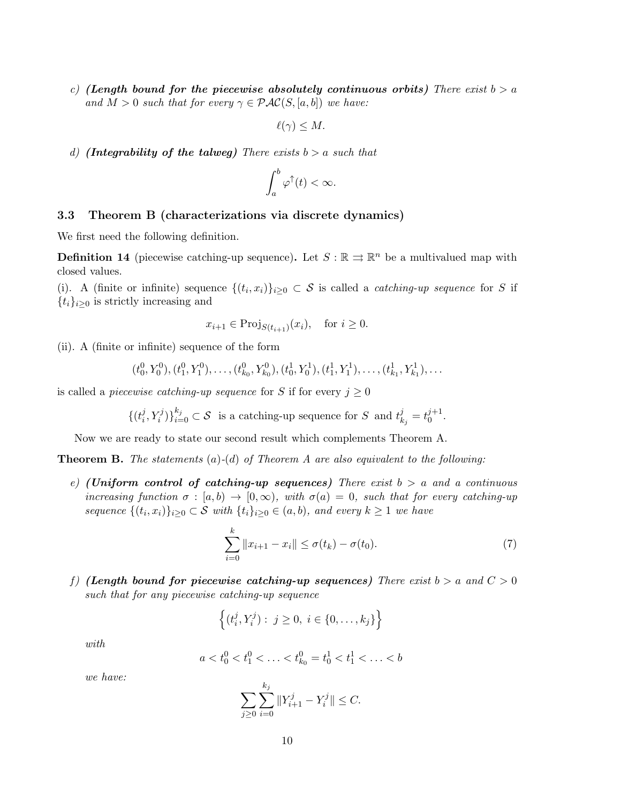c) (Length bound for the piecewise absolutely continuous orbits) There exist  $b > a$ and  $M > 0$  such that for every  $\gamma \in \mathcal{PAC}(S, [a, b])$  we have:

$$
\ell(\gamma) \leq M.
$$

d) (Integrability of the talweg) There exists  $b > a$  such that

$$
\int_a^b \varphi^\uparrow(t) < \infty.
$$

#### 3.3 Theorem B (characterizations via discrete dynamics)

We first need the following definition.

**Definition 14** (piecewise catching-up sequence). Let  $S : \mathbb{R} \implies \mathbb{R}^n$  be a multivalued map with closed values.

(i). A (finite or infinite) sequence  $\{(t_i,x_i)\}_{i\geq 0} \subset S$  is called a *catching-up sequence* for S if  ${t_i}_{i>0}$  is strictly increasing and

$$
x_{i+1} \in \text{Proj}_{S(t_{i+1})}(x_i), \text{ for } i \ge 0.
$$

(ii). A (finite or infinite) sequence of the form

$$
(t_0^0, Y_0^0), (t_1^0, Y_1^0), \ldots, (t_{k_0}^0, Y_{k_0}^0), (t_0^1, Y_0^1), (t_1^1, Y_1^1), \ldots, (t_{k_1}^1, Y_{k_1}^1), \ldots
$$

is called a *piecewise catching-up sequence* for S if for every  $j \geq 0$ 

$$
\{(t_i^j, Y_i^j)\}_{i=0}^{k_j} \subset \mathcal{S} \text{ is a catching-up sequence for } S \text{ and } t_{k_j}^j = t_0^{j+1}.
$$

Now we are ready to state our second result which complements Theorem A.

**Theorem B.** The statements  $(a)$ - $(d)$  of Theorem A are also equivalent to the following:

e) (Uniform control of catching-up sequences) There exist  $b > a$  and a continuous increasing function  $\sigma : [a, b) \to [0, \infty)$ , with  $\sigma(a) = 0$ , such that for every catching-up sequence  $\{(t_i, x_i)\}_{i \geq 0} \subset \mathcal{S}$  with  $\{t_i\}_{i \geq 0} \in (a, b)$ , and every  $k \geq 1$  we have

$$
\sum_{i=0}^{k} ||x_{i+1} - x_i|| \le \sigma(t_k) - \sigma(t_0).
$$
 (7)

f) (Length bound for piecewise catching-up sequences) There exist  $b > a$  and  $C > 0$ such that for any piecewise catching-up sequence

$$
\left\{ (t_i^j, Y_i^j) : j \ge 0, i \in \{0, \ldots, k_j\} \right\}
$$

with

$$
a < t_0^0 < t_1^0 < \ldots < t_{k_0}^0 = t_0^1 < t_1^1 < \ldots < b
$$

we have:

$$
\sum_{j\geq 0} \sum_{i=0}^{k_j} ||Y_{i+1}^j - Y_i^j|| \leq C.
$$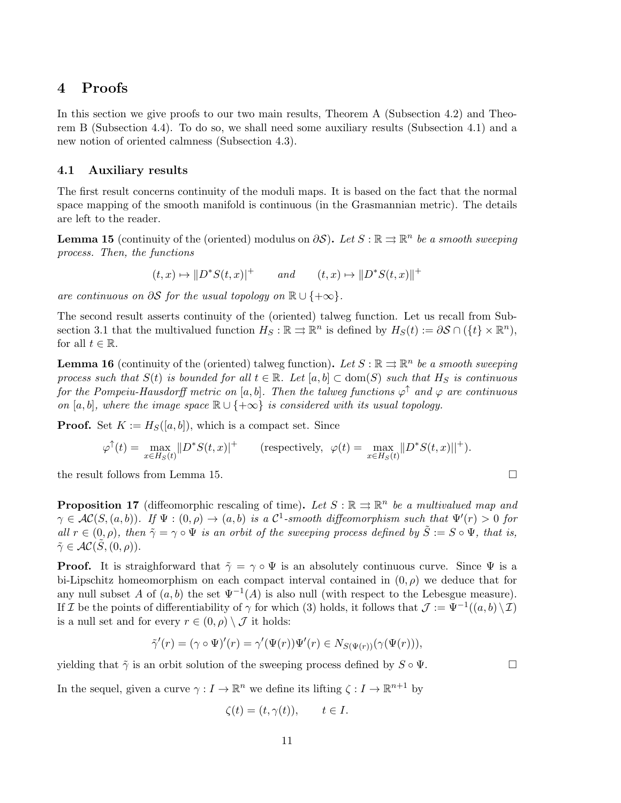## 4 Proofs

In this section we give proofs to our two main results, Theorem A (Subsection 4.2) and Theorem B (Subsection 4.4). To do so, we shall need some auxiliary results (Subsection 4.1) and a new notion of oriented calmness (Subsection 4.3).

### 4.1 Auxiliary results

The first result concerns continuity of the moduli maps. It is based on the fact that the normal space mapping of the smooth manifold is continuous (in the Grasmannian metric). The details are left to the reader.

**Lemma 15** (continuity of the (oriented) modulus on  $\partial S$ ). Let  $S : \mathbb{R} \rightrightarrows \mathbb{R}^n$  be a smooth sweeping process. Then, the functions

$$
(t, x) \mapsto \|D^*S(t, x)|^+ \qquad and \qquad (t, x) \mapsto \|D^*S(t, x)\|^+
$$

are continuous on  $\partial S$  for the usual topology on  $\mathbb{R} \cup \{+\infty\}.$ 

The second result asserts continuity of the (oriented) talweg function. Let us recall from Subsection 3.1 that the multivalued function  $H_S : \mathbb{R} \rightrightarrows \mathbb{R}^n$  is defined by  $H_S(t) := \partial S \cap (\{t\} \times \mathbb{R}^n)$ , for all  $t \in \mathbb{R}$ .

**Lemma 16** (continuity of the (oriented) talweg function). Let  $S : \mathbb{R} \rightrightarrows \mathbb{R}^n$  be a smooth sweeping process such that  $S(t)$  is bounded for all  $t \in \mathbb{R}$ . Let  $[a, b] \subset \text{dom}(S)$  such that  $H_S$  is continuous for the Pompeiu-Hausdorff metric on [a, b]. Then the talweg functions  $\varphi^{\uparrow}$  and  $\varphi$  are continuous on [a, b], where the image space  $\mathbb{R} \cup \{+\infty\}$  is considered with its usual topology.

**Proof.** Set  $K := H_S([a, b])$ , which is a compact set. Since

$$
\varphi^{\uparrow}(t) = \max_{x \in H_S(t)} ||D^*S(t, x)||^+ \qquad \text{(respectively, } \varphi(t) = \max_{x \in H_S(t)} ||D^*S(t, x)||^+).
$$

the result follows from Lemma 15.

**Proposition 17** (diffeomorphic rescaling of time). Let  $S : \mathbb{R} \rightrightarrows \mathbb{R}^n$  be a multivalued map and  $\gamma \in AC(S,(a,b))$ . If  $\Psi : (0,\rho) \to (a,b)$  is a  $\mathcal{C}^1$ -smooth diffeomorphism such that  $\Psi'(r) > 0$  for all  $r \in (0, \rho)$ , then  $\tilde{\gamma} = \gamma \circ \Psi$  is an orbit of the sweeping process defined by  $\tilde{S} := S \circ \Psi$ , that is,  $\tilde{\gamma} \in \mathcal{AC}(\tilde{S}, (0, \rho)).$ 

**Proof.** It is straighforward that  $\tilde{\gamma} = \gamma \circ \Psi$  is an absolutely continuous curve. Since  $\Psi$  is a bi-Lipschitz homeomorphism on each compact interval contained in  $(0, \rho)$  we deduce that for any null subset A of  $(a, b)$  the set  $\Psi^{-1}(A)$  is also null (with respect to the Lebesgue measure). If I be the points of differentiability of  $\gamma$  for which (3) holds, it follows that  $\mathcal{J} := \Psi^{-1}((a, b) \setminus \mathcal{I})$ is a null set and for every  $r \in (0, \rho) \setminus \mathcal{J}$  it holds:

$$
\tilde{\gamma}'(r) = (\gamma \circ \Psi)'(r) = \gamma'(\Psi(r))\Psi'(r) \in N_{S(\Psi(r))}(\gamma(\Psi(r))),
$$

yielding that  $\tilde{\gamma}$  is an orbit solution of the sweeping process defined by  $S \circ \Psi$ .

In the sequel, given a curve  $\gamma: I \to \mathbb{R}^n$  we define its lifting  $\zeta: I \to \mathbb{R}^{n+1}$  by

$$
\zeta(t) = (t, \gamma(t)), \qquad t \in I.
$$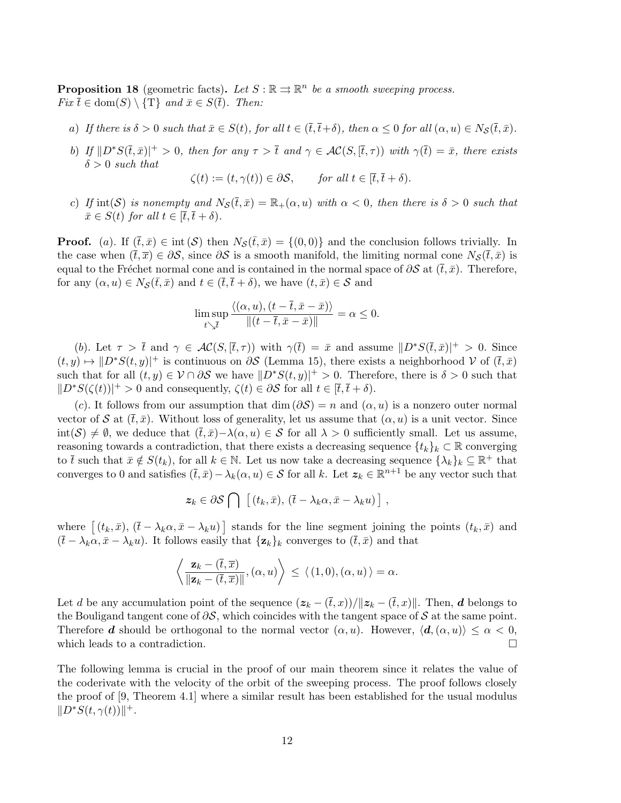**Proposition 18** (geometric facts). Let  $S : \mathbb{R} \rightrightarrows \mathbb{R}^n$  be a smooth sweeping process.  $Fix \overline{t} \in \text{dom}(S) \setminus {\{T\}} \text{ and } \overline{x} \in S(\overline{t})$ . Then:

- a) If there is  $\delta > 0$  such that  $\bar{x} \in S(t)$ , for all  $t \in (\bar{t}, \bar{t} + \delta)$ , then  $\alpha \leq 0$  for all  $(\alpha, u) \in N_{\mathcal{S}}(\bar{t}, \bar{x})$ .
- b) If  $\|D^*S(\bar{t},\bar{x})\|^+ > 0$ , then for any  $\tau > \bar{t}$  and  $\gamma \in AC(S, [\bar{t}, \tau))$  with  $\gamma(\bar{t}) = \bar{x}$ , there exists  $\delta > 0$  such that

$$
\zeta(t) := (t, \gamma(t)) \in \partial S, \quad \text{for all } t \in [\bar{t}, \bar{t} + \delta).
$$

c) If int(S) is nonempty and  $N_S(\bar{t},\bar{x}) = \mathbb{R}_+(\alpha, u)$  with  $\alpha < 0$ , then there is  $\delta > 0$  such that  $\bar{x} \in S(t)$  for all  $t \in [\bar{t}, \bar{t} + \delta)$ .

**Proof.** (a). If  $(\bar{t}, \bar{x}) \in \text{int}(\mathcal{S})$  then  $N_{\mathcal{S}}(\bar{t}, \bar{x}) = \{(0, 0)\}\$ and the conclusion follows trivially. In the case when  $(\bar{t}, \bar{x}) \in \partial S$ , since  $\partial S$  is a smooth manifold, the limiting normal cone  $N_{\mathcal{S}}(\bar{t}, \bar{x})$  is equal to the Fréchet normal cone and is contained in the normal space of  $\partial S$  at  $(\bar{t}, \bar{x})$ . Therefore, for any  $(\alpha, u) \in N_{\mathcal{S}}(\bar{t}, \bar{x})$  and  $t \in (\bar{t}, \bar{t} + \delta)$ , we have  $(t, \bar{x}) \in \mathcal{S}$  and

$$
\limsup_{t\searrow \bar t}\frac{\langle (\alpha,u),(t-\bar t,\bar x-\bar x)\rangle}{\|(t-\bar t,\bar x-\bar x)\|}=\alpha\leq 0.
$$

(b). Let  $\tau > \overline{t}$  and  $\gamma \in AC(S, [\overline{t}, \tau))$  with  $\gamma(\overline{t}) = \overline{x}$  and assume  $||D^*S(\overline{t}, \overline{x})||^+ > 0$ . Since  $(t, y) \mapsto |D^*S(t, y)|^+$  is continuous on  $\partial S$  (Lemma 15), there exists a neighborhood V of  $(\bar{t}, \bar{x})$ such that for all  $(t, y) \in V \cap \partial S$  we have  $||D^*S(t, y)||^+ > 0$ . Therefore, there is  $\delta > 0$  such that  $||D^*S(\zeta(t))||^+ > 0$  and consequently,  $\zeta(t) \in \partial S$  for all  $t \in [\bar{t}, \bar{t} + \delta)$ .

(c). It follows from our assumption that dim  $(\partial \mathcal{S}) = n$  and  $(\alpha, u)$  is a nonzero outer normal vector of S at  $(\bar{t}, \bar{x})$ . Without loss of generality, let us assume that  $(\alpha, u)$  is a unit vector. Since  $\text{int}(\mathcal{S}) \neq \emptyset$ , we deduce that  $(\bar{t}, \bar{x})-\lambda(\alpha, u) \in \mathcal{S}$  for all  $\lambda > 0$  sufficiently small. Let us assume, reasoning towards a contradiction, that there exists a decreasing sequence  $\{t_k\}_k \subset \mathbb{R}$  converging to  $\bar{t}$  such that  $\bar{x} \notin S(t_k)$ , for all  $k \in \mathbb{N}$ . Let us now take a decreasing sequence  $\{\lambda_k\}_k \subseteq \mathbb{R}^+$  that converges to 0 and satisfies  $(\bar{t}, \bar{x}) - \lambda_k(\alpha, u) \in \mathcal{S}$  for all k. Let  $z_k \in \mathbb{R}^{n+1}$  be any vector such that

$$
z_k \in \partial S \bigcap \left[ (t_k, \bar{x}), (\bar{t} - \lambda_k \alpha, \bar{x} - \lambda_k u) \right],
$$

where  $[(t_k, \bar{x}), (\bar{t} - \lambda_k \alpha, \bar{x} - \lambda_k u)]$  stands for the line segment joining the points  $(t_k, \bar{x})$  and  $(\bar{t} - \lambda_k \alpha, \bar{x} - \lambda_k u)$ . It follows easily that  $\{\mathbf{z}_k\}_k$  converges to  $(\bar{t}, \bar{x})$  and that

$$
\left\langle \frac{\mathbf{z}_k - (\overline{t}, \overline{x})}{\|\mathbf{z}_k - (\overline{t}, \overline{x})\|}, (\alpha, u) \right\rangle \le \langle (1, 0), (\alpha, u) \rangle = \alpha.
$$

Let d be any accumulation point of the sequence  $(z_k - (\bar{t}, x))/||z_k - (\bar{t}, x)||$ . Then, d belongs to the Bouligand tangent cone of  $\partial S$ , which coincides with the tangent space of S at the same point. Therefore **d** should be orthogonal to the normal vector  $(\alpha, u)$ . However,  $\langle d, (\alpha, u) \rangle \leq \alpha < 0$ , which leads to a contradiction.  $\Box$ 

The following lemma is crucial in the proof of our main theorem since it relates the value of the coderivate with the velocity of the orbit of the sweeping process. The proof follows closely the proof of [9, Theorem 4.1] where a similar result has been established for the usual modulus  $||D^*S(t,\gamma(t))||^+$ .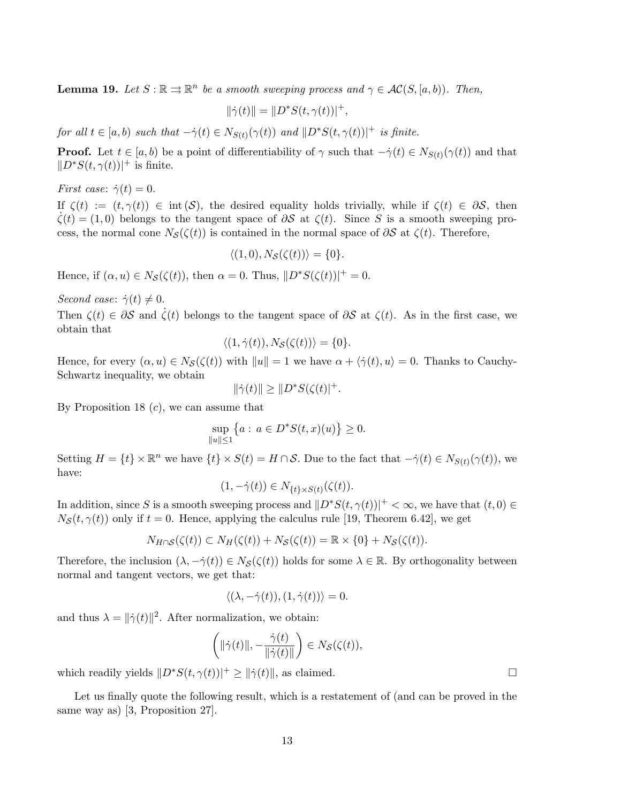**Lemma 19.** Let  $S : \mathbb{R} \rightrightarrows \mathbb{R}^n$  be a smooth sweeping process and  $\gamma \in \mathcal{AC}(S, [a, b])$ . Then,

 $\|\dot{\gamma}(t)\| = \|D^*S(t, \gamma(t))|^+,$ 

for all  $t \in [a, b)$  such that  $-\dot{\gamma}(t) \in N_{S(t)}(\gamma(t))$  and  $||D^*S(t, \gamma(t))||^+$  is finite.

**Proof.** Let  $t \in [a, b)$  be a point of differentiability of  $\gamma$  such that  $-\dot{\gamma}(t) \in N_{S(t)}(\gamma(t))$  and that  $||D^*S(t, \gamma(t))||^+$  is finite.

*First case:*  $\dot{\gamma}(t) = 0$ .

If  $\zeta(t) := (t, \gamma(t)) \in \text{int}(\mathcal{S})$ , the desired equality holds trivially, while if  $\zeta(t) \in \partial \mathcal{S}$ , then  $\zeta(t) = (1,0)$  belongs to the tangent space of  $\partial S$  at  $\zeta(t)$ . Since S is a smooth sweeping process, the normal cone  $N_{\mathcal{S}}(\zeta(t))$  is contained in the normal space of  $\partial \mathcal{S}$  at  $\zeta(t)$ . Therefore,

$$
\langle (1,0), N_{\mathcal{S}}(\zeta(t)) \rangle = \{0\}.
$$

Hence, if  $(\alpha, u) \in N_{\mathcal{S}}(\zeta(t))$ , then  $\alpha = 0$ . Thus,  $||D^*S(\zeta(t))||^+ = 0$ .

Second case:  $\dot{\gamma}(t) \neq 0$ .

Then  $\zeta(t) \in \partial S$  and  $\zeta(t)$  belongs to the tangent space of  $\partial S$  at  $\zeta(t)$ . As in the first case, we obtain that

$$
\langle (1, \dot{\gamma}(t)), N_{\mathcal{S}}(\zeta(t)) \rangle = \{0\}.
$$

Hence, for every  $(\alpha, u) \in N_{\mathcal{S}}(\zeta(t))$  with  $||u|| = 1$  we have  $\alpha + \langle \dot{\gamma}(t), u \rangle = 0$ . Thanks to Cauchy-Schwartz inequality, we obtain

$$
\|\dot{\gamma}(t)\| \ge \|D^*S(\zeta(t))^+.
$$

By Proposition 18  $(c)$ , we can assume that

$$
\sup_{\|u\| \le 1} \{ a : a \in D^*S(t, x)(u) \} \ge 0.
$$

Setting  $H = \{t\} \times \mathbb{R}^n$  we have  $\{t\} \times S(t) = H \cap S$ . Due to the fact that  $-\dot{\gamma}(t) \in N_{S(t)}(\gamma(t))$ , we have:

$$
(1, -\dot{\gamma}(t)) \in N_{\{t\} \times S(t)}(\zeta(t)).
$$

In addition, since S is a smooth sweeping process and  $||D^*S(t, \gamma(t))||^+ < \infty$ , we have that  $(t, 0) \in$  $N<sub>S</sub>(t, \gamma(t))$  only if  $t = 0$ . Hence, applying the calculus rule [19, Theorem 6.42], we get

$$
N_{H\cap\mathcal{S}}(\zeta(t)) \subset N_H(\zeta(t)) + N_{\mathcal{S}}(\zeta(t)) = \mathbb{R} \times \{0\} + N_{\mathcal{S}}(\zeta(t)).
$$

Therefore, the inclusion  $(\lambda, -\dot{\gamma}(t)) \in N_{\mathcal{S}}(\zeta(t))$  holds for some  $\lambda \in \mathbb{R}$ . By orthogonality between normal and tangent vectors, we get that:

$$
\langle (\lambda, -\dot{\gamma}(t)), (1, \dot{\gamma}(t)) \rangle = 0.
$$

and thus  $\lambda = ||\dot{\gamma}(t)||^2$ . After normalization, we obtain:

$$
\left(\|\dot{\gamma}(t)\|, -\frac{\dot{\gamma}(t)}{\|\dot{\gamma}(t)\|}\right) \in N_{\mathcal{S}}(\zeta(t)),
$$

which readily yields  $||D^*S(t, \gamma(t))||^2 \ge ||\dot{\gamma}(t)||$ , as claimed.

Let us finally quote the following result, which is a restatement of (and can be proved in the same way as) [3, Proposition 27].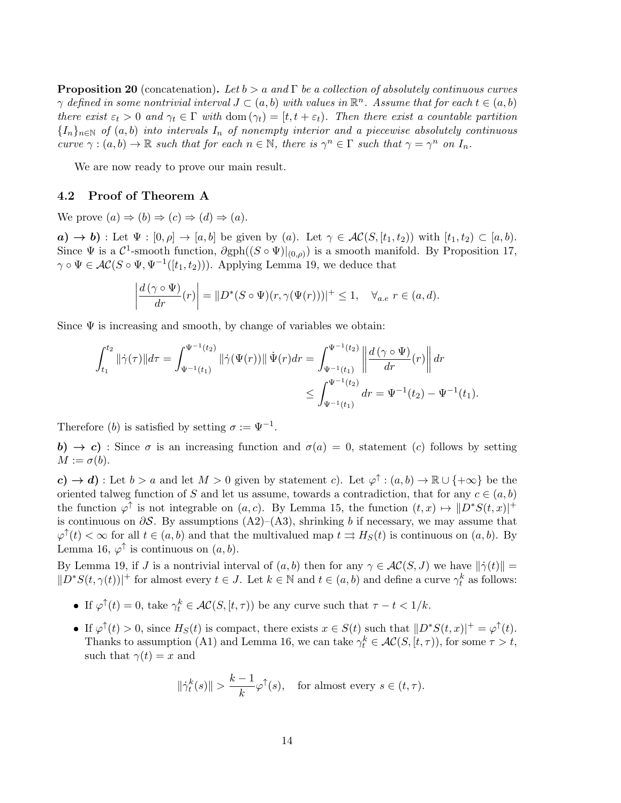**Proposition 20** (concatenation). Let  $b > a$  and  $\Gamma$  be a collection of absolutely continuous curves  $\gamma$  defined in some nontrivial interval  $J \subset (a, b)$  with values in  $\mathbb{R}^n$ . Assume that for each  $t \in (a, b)$ there exist  $\varepsilon_t > 0$  and  $\gamma_t \in \Gamma$  with dom  $(\gamma_t) = [t, t + \varepsilon_t)$ . Then there exist a countable partition  ${I_n}_{n\in\mathbb{N}}$  of  $(a, b)$  into intervals  $I_n$  of nonempty interior and a piecewise absolutely continuous curve  $\gamma : (a, b) \to \mathbb{R}$  such that for each  $n \in \mathbb{N}$ , there is  $\gamma^n \in \Gamma$  such that  $\gamma = \gamma^n$  on  $I_n$ .

We are now ready to prove our main result.

#### 4.2 Proof of Theorem A

We prove  $(a) \Rightarrow (b) \Rightarrow (c) \Rightarrow (d) \Rightarrow (a)$ .

a)  $\rightarrow$  b) : Let  $\Psi : [0, \rho] \rightarrow [a, b]$  be given by (a). Let  $\gamma \in \mathcal{AC}(S, [t_1, t_2))$  with  $[t_1, t_2) \subset [a, b)$ . Since  $\Psi$  is a  $\mathcal{C}^1$ -smooth function,  $\partial gph((S \circ \Psi)|_{(0,\rho)})$  is a smooth manifold. By Proposition 17,  $\gamma \circ \Psi \in \mathcal{AC}(S \circ \Psi, \Psi^{-1}([t_1, t_2)))$ . Applying Lemma 19, we deduce that

$$
\left|\frac{d(\gamma \circ \Psi)}{dr}(r)\right| = \|D^*(S \circ \Psi)(r, \gamma(\Psi(r)))\|^+ \le 1, \quad \forall_{a.e} \ r \in (a, d).
$$

Since  $\Psi$  is increasing and smooth, by change of variables we obtain:

$$
\int_{t_1}^{t_2} ||\dot{\gamma}(\tau)||d\tau = \int_{\Psi^{-1}(t_1)}^{\Psi^{-1}(t_2)} ||\dot{\gamma}(\Psi(r))|| \dot{\Psi}(r)dr = \int_{\Psi^{-1}(t_1)}^{\Psi^{-1}(t_2)} \left\| \frac{d(\gamma \circ \Psi)}{dr}(r) \right\| dr
$$
  

$$
\leq \int_{\Psi^{-1}(t_1)}^{\Psi^{-1}(t_2)} dr = \Psi^{-1}(t_2) - \Psi^{-1}(t_1).
$$

Therefore (b) is satisfied by setting  $\sigma := \Psi^{-1}$ .

b)  $\rightarrow$  c) : Since  $\sigma$  is an increasing function and  $\sigma(a) = 0$ , statement (c) follows by setting  $M := \sigma(b).$ 

 $c) \rightarrow d$ ): Let  $b > a$  and let  $M > 0$  given by statement c). Let  $\varphi^{\uparrow} : (a, b) \rightarrow \mathbb{R} \cup \{+\infty\}$  be the oriented talweg function of S and let us assume, towards a contradiction, that for any  $c \in (a, b)$ the function  $\varphi^{\uparrow}$  is not integrable on  $(a, c)$ . By Lemma 15, the function  $(t, x) \mapsto ||D^*S(t, x)|^+$ is continuous on  $\partial S$ . By assumptions (A2)–(A3), shrinking b if necessary, we may assume that  $\varphi^{\uparrow}(t) < \infty$  for all  $t \in (a, b)$  and that the multivalued map  $t \Rightarrow H_S(t)$  is continuous on  $(a, b)$ . By Lemma 16,  $\varphi^{\uparrow}$  is continuous on  $(a, b)$ .

By Lemma 19, if J is a nontrivial interval of  $(a, b)$  then for any  $\gamma \in \mathcal{AC}(S, J)$  we have  $\|\dot{\gamma}(t)\|$  =  $||D^*S(t,\gamma(t))||^2$  for almost every  $t \in J$ . Let  $k \in \mathbb{N}$  and  $t \in (a,b)$  and define a curve  $\gamma_t^k$  as follows:

- If  $\varphi^{\uparrow}(t) = 0$ , take  $\gamma_t^k \in \mathcal{AC}(S, [t, \tau))$  be any curve such that  $\tau t < 1/k$ .
- If  $\varphi^{\uparrow}(t) > 0$ , since  $H_S(t)$  is compact, there exists  $x \in S(t)$  such that  $||D^*S(t,x)||^+ = \varphi^{\uparrow}(t)$ . Thanks to assumption (A1) and Lemma 16, we can take  $\gamma_t^k \in AC(S, [t, \tau))$ , for some  $\tau > t$ , such that  $\gamma(t) = x$  and

$$
\|\dot{\gamma}_t^k(s)\| > \frac{k-1}{k}\varphi^{\uparrow}(s), \quad \text{for almost every } s \in (t, \tau).
$$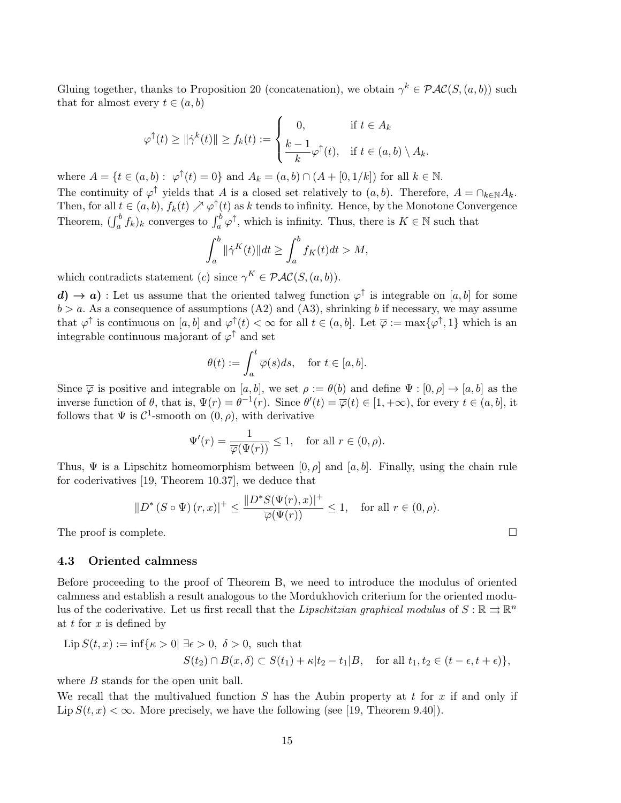Gluing together, thanks to Proposition 20 (concatenation), we obtain  $\gamma^k \in \mathcal{PAC}(S, (a, b))$  such that for almost every  $t \in (a, b)$ 

$$
\varphi^{\uparrow}(t) \geq \|\dot{\gamma}^{k}(t)\| \geq f_{k}(t) := \begin{cases} 0, & \text{if } t \in A_{k} \\ \frac{k-1}{k} \varphi^{\uparrow}(t), & \text{if } t \in (a, b) \setminus A_{k} .\end{cases}
$$

where  $A = \{t \in (a, b) : \varphi^{\uparrow}(t) = 0\}$  and  $A_k = (a, b) \cap (A + [0, 1/k])$  for all  $k \in \mathbb{N}$ .

The continuity of  $\varphi^{\uparrow}$  yields that A is a closed set relatively to  $(a, b)$ . Therefore,  $A = \bigcap_{k \in \mathbb{N}} A_k$ . Then, for all  $t \in (a, b)$ ,  $f_k(t) \nearrow \varphi^{\uparrow}(t)$  as k tends to infinity. Hence, by the Monotone Convergence Theorem,  $(\int_a^b f_k)_k$  converges to  $\int_a^b \varphi^{\uparrow}$ , which is infinity. Thus, there is  $K \in \mathbb{N}$  such that

$$
\int_{a}^{b} \|\dot{\gamma}^{K}(t)\|dt \ge \int_{a}^{b} f_{K}(t)dt > M,
$$

which contradicts statement (c) since  $\gamma^K \in \mathcal{PAC}(S, (a, b))$ .

 $\mathbf{d}$ )  $\rightarrow$  a) : Let us assume that the oriented talweg function  $\varphi^{\uparrow}$  is integrable on [a, b] for some  $b > a$ . As a consequence of assumptions (A2) and (A3), shrinking b if necessary, we may assume that  $\varphi^{\uparrow}$  is continuous on  $[a, b]$  and  $\varphi^{\uparrow}(t) < \infty$  for all  $t \in (a, b]$ . Let  $\overline{\varphi} := \max\{\varphi^{\uparrow}, 1\}$  which is an integrable continuous majorant of  $\varphi^{\uparrow}$  and set

$$
\theta(t) := \int_a^t \overline{\varphi}(s)ds, \quad \text{for } t \in [a, b].
$$

Since  $\overline{\varphi}$  is positive and integrable on [a, b], we set  $\rho := \theta(b)$  and define  $\Psi : [0, \rho] \to [a, b]$  as the inverse function of  $\theta$ , that is,  $\Psi(r) = \theta^{-1}(r)$ . Since  $\theta'(t) = \overline{\varphi}(t) \in [1, +\infty)$ , for every  $t \in (a, b]$ , it follows that  $\Psi$  is  $\mathcal{C}^1$ -smooth on  $(0, \rho)$ , with derivative

$$
\Psi'(r) = \frac{1}{\overline{\varphi}(\Psi(r))} \le 1, \quad \text{for all } r \in (0, \rho).
$$

Thus,  $\Psi$  is a Lipschitz homeomorphism between  $[0, \rho]$  and  $[a, b]$ . Finally, using the chain rule for coderivatives [19, Theorem 10.37], we deduce that

$$
||D^*(S \circ \Psi)(r,x)||^+ \le \frac{||D^*S(\Psi(r),x)||^+}{\overline{\varphi}(\Psi(r))} \le 1, \quad \text{for all } r \in (0,\rho).
$$

The proof is complete.  $\Box$ 

#### 4.3 Oriented calmness

Before proceeding to the proof of Theorem B, we need to introduce the modulus of oriented calmness and establish a result analogous to the Mordukhovich criterium for the oriented modulus of the coderivative. Let us first recall that the *Lipschitzian graphical modulus* of  $S : \mathbb{R} \rightrightarrows \mathbb{R}^n$ at  $t$  for  $x$  is defined by

$$
\text{Lip}\,S(t,x) := \inf\{\kappa > 0| \exists \epsilon > 0, \ \delta > 0, \text{ such that}
$$
\n
$$
S(t_2) \cap B(x,\delta) \subset S(t_1) + \kappa |t_2 - t_1|B, \quad \text{for all } t_1, t_2 \in (t - \epsilon, t + \epsilon)\},
$$

where *B* stands for the open unit ball.

We recall that the multivalued function  $S$  has the Aubin property at  $t$  for  $x$  if and only if Lip  $S(t, x) < \infty$ . More precisely, we have the following (see [19, Theorem 9.40]).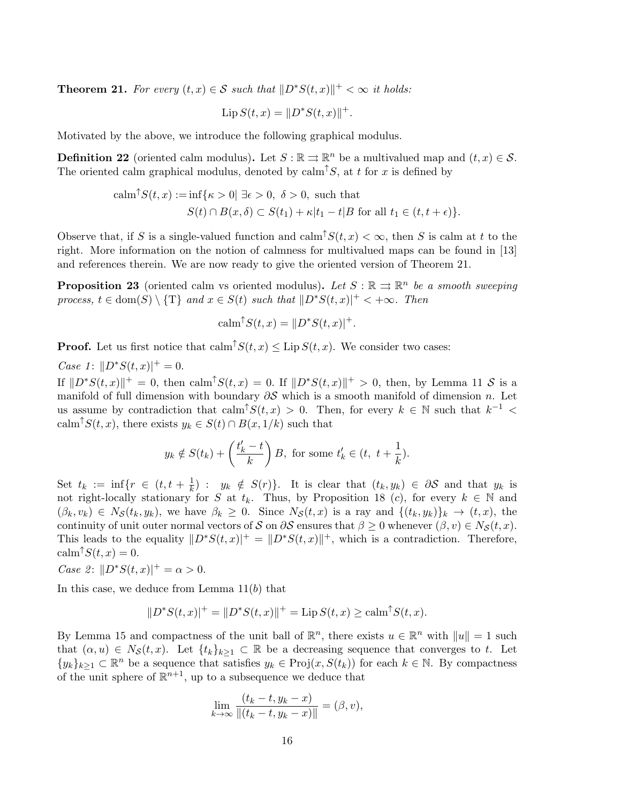**Theorem 21.** For every  $(t, x) \in S$  such that  $||D^*S(t, x)||^+ < \infty$  it holds:

$$
\text{Lip}\,S(t,x) = \|D^*S(t,x)\|^+.
$$

Motivated by the above, we introduce the following graphical modulus.

**Definition 22** (oriented calm modulus). Let  $S : \mathbb{R} \rightrightarrows \mathbb{R}^n$  be a multivalued map and  $(t, x) \in S$ . The oriented calm graphical modulus, denoted by  $\text{calm}^{\uparrow}S$ , at t for x is defined by

$$
calm^{\uparrow}S(t, x) := \inf \{ \kappa > 0 | \exists \epsilon > 0, \ \delta > 0, \text{ such that}
$$
  

$$
S(t) \cap B(x, \delta) \subset S(t_1) + \kappa | t_1 - t | B \text{ for all } t_1 \in (t, t + \epsilon) \}.
$$

Observe that, if S is a single-valued function and  $\text{calm}^{\uparrow}S(t, x) < \infty$ , then S is calm at t to the right. More information on the notion of calmness for multivalued maps can be found in [13] and references therein. We are now ready to give the oriented version of Theorem 21.

**Proposition 23** (oriented calm vs oriented modulus). Let  $S : \mathbb{R} \implies \mathbb{R}^n$  be a smooth sweeping process,  $t \in \text{dom}(S) \setminus \{T\}$  and  $x \in S(t)$  such that  $\|D^*S(t, x)|^+ < +\infty$ . Then

$$
calm^{\uparrow}S(t, x) = ||D^*S(t, x)|^+.
$$

**Proof.** Let us first notice that  $\text{calm}^{\uparrow}S(t, x) \leq \text{Lip } S(t, x)$ . We consider two cases:

Case 1:  $||D^*S(t, x)|^+ = 0$ .

If  $||D^*S(t, x)||^+ = 0$ , then calm<sup>↑</sup> $S(t, x) = 0$ . If  $||D^*S(t, x)||^+ > 0$ , then, by Lemma 11 S is a manifold of full dimension with boundary  $\partial S$  which is a smooth manifold of dimension n. Let us assume by contradiction that calm<sup> $\uparrow S(t,x) > 0$ . Then, for every  $k \in \mathbb{N}$  such that  $k^{-1} <$ </sup> calm<sup> $\uparrow S(t, x)$ </sup>, there exists  $y_k \in S(t) \cap B(x, 1/k)$  such that

$$
y_k \notin S(t_k) + \left(\frac{t'_k - t}{k}\right)B
$$
, for some  $t'_k \in (t, t + \frac{1}{k})$ .

Set  $t_k := \inf\{r \in (t, t + \frac{1}{k})\}$  $\frac{1}{k}$ ):  $y_k \notin S(r)$ . It is clear that  $(t_k, y_k) \in \partial S$  and that  $y_k$  is not right-locally stationary for S at  $t_k$ . Thus, by Proposition 18 (c), for every  $k \in \mathbb{N}$  and  $(\beta_k, v_k) \in N_{\mathcal{S}}(t_k, y_k)$ , we have  $\beta_k \geq 0$ . Since  $N_{\mathcal{S}}(t, x)$  is a ray and  $\{(t_k, y_k)\}_k \to (t, x)$ , the continuity of unit outer normal vectors of S on  $\partial S$  ensures that  $\beta \geq 0$  whenever  $(\beta, v) \in N_S(t, x)$ . This leads to the equality  $||D^*S(t, x)||^+ = ||D^*S(t, x)||^+$ , which is a contradiction. Therefore,  $\operatorname{calm} \uparrow S(t, x) = 0.$ 

*Case 2*:  $||D^*S(t, x)|^+ = \alpha > 0$ .

In this case, we deduce from Lemma  $11(b)$  that

$$
||D^*S(t,x)|^+ = ||D^*S(t,x)||^+ = \text{Lip}\,S(t,x) \ge \text{calm}^{\uparrow}S(t,x).
$$

By Lemma 15 and compactness of the unit ball of  $\mathbb{R}^n$ , there exists  $u \in \mathbb{R}^n$  with  $||u|| = 1$  such that  $(\alpha, u) \in N_{\mathcal{S}}(t, x)$ . Let  $\{t_k\}_{k\geq 1} \subset \mathbb{R}$  be a decreasing sequence that converges to t. Let  $\{y_k\}_{k\geq 1} \subset \mathbb{R}^n$  be a sequence that satisfies  $y_k \in \text{Proj}(x, S(t_k))$  for each  $k \in \mathbb{N}$ . By compactness of the unit sphere of  $\mathbb{R}^{n+1}$ , up to a subsequence we deduce that

$$
\lim_{k \to \infty} \frac{(t_k - t, y_k - x)}{\|(t_k - t, y_k - x)\|} = (\beta, v),
$$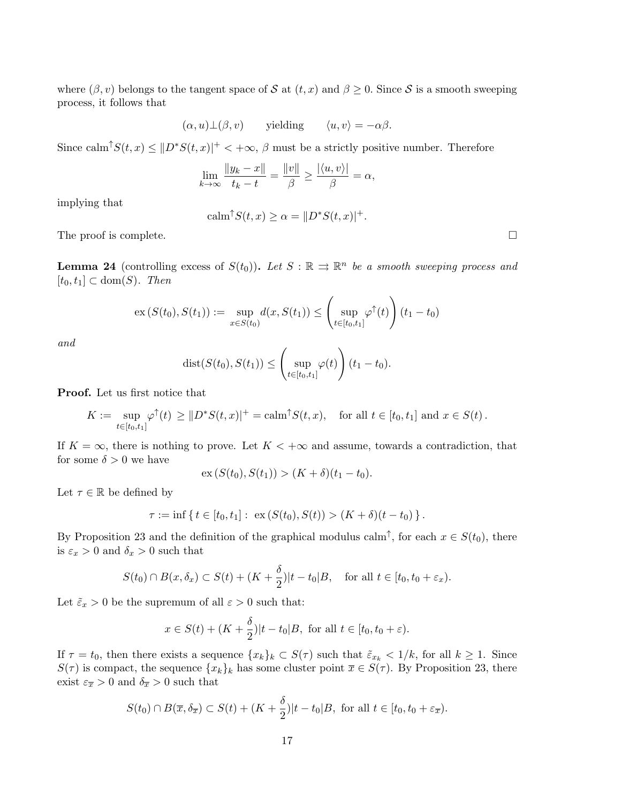where  $(\beta, v)$  belongs to the tangent space of S at  $(t, x)$  and  $\beta \geq 0$ . Since S is a smooth sweeping process, it follows that

$$
(\alpha, u) \bot (\beta, v)
$$
 yielding  $\langle u, v \rangle = -\alpha \beta$ .

Since calm<sup> $\uparrow S(t, x) \leq ||D^*S(t, x)||^+ < +\infty$ ,  $\beta$  must be a strictly positive number. Therefore</sup>

$$
\lim_{k \to \infty} \frac{\|y_k - x\|}{t_k - t} = \frac{\|v\|}{\beta} \ge \frac{|\langle u, v \rangle|}{\beta} = \alpha,
$$

implying that

$$
calm^{\uparrow}S(t, x) \ge \alpha = ||D^*S(t, x)|^+.
$$

The proof is complete.  $\Box$ 

**Lemma 24** (controlling excess of  $S(t_0)$ ). Let  $S : \mathbb{R} \implies \mathbb{R}^n$  be a smooth sweeping process and  $[t_0, t_1] \subset \text{dom}(S)$ . Then

$$
\mathrm{ex}\,(S(t_0),S(t_1)) := \sup_{x \in S(t_0)} d(x,S(t_1)) \leq \left(\sup_{t \in [t_0,t_1]} \varphi^{\uparrow}(t)\right) (t_1 - t_0)
$$

and

$$
dist(S(t_0),S(t_1)) \leq \left(\sup_{t \in [t_0,t_1]} \varphi(t)\right) (t_1 - t_0).
$$

Proof. Let us first notice that

$$
K := \sup_{t \in [t_0, t_1]} \varphi^{\uparrow}(t) \geq ||D^*S(t, x)|^+ = \text{calm}^{\uparrow}S(t, x), \quad \text{for all } t \in [t_0, t_1] \text{ and } x \in S(t).
$$

If  $K = \infty$ , there is nothing to prove. Let  $K < +\infty$  and assume, towards a contradiction, that for some  $\delta > 0$  we have

$$
\mathrm{ex}\,(S(t_0),S(t_1)) > (K+\delta)(t_1-t_0).
$$

Let  $\tau \in \mathbb{R}$  be defined by

$$
\tau := \inf \{ t \in [t_0, t_1]: \ \mathrm{ex}\,(S(t_0), S(t)) > (K + \delta)(t - t_0) \}.
$$

By Proposition 23 and the definition of the graphical modulus calm<sup>†</sup>, for each  $x \in S(t_0)$ , there is  $\varepsilon_x > 0$  and  $\delta_x > 0$  such that

$$
S(t_0) \cap B(x, \delta_x) \subset S(t) + (K + \frac{\delta}{2})|t - t_0|B, \quad \text{for all } t \in [t_0, t_0 + \varepsilon_x).
$$

Let  $\tilde{\varepsilon}_x > 0$  be the supremum of all  $\varepsilon > 0$  such that:

$$
x \in S(t) + (K + \frac{\delta}{2})|t - t_0|B
$$
, for all  $t \in [t_0, t_0 + \varepsilon)$ .

If  $\tau = t_0$ , then there exists a sequence  $\{x_k\}_k \subset S(\tau)$  such that  $\tilde{\varepsilon}_{x_k} < 1/k$ , for all  $k \geq 1$ . Since  $S(\tau)$  is compact, the sequence  $\{x_k\}_k$  has some cluster point  $\overline{x} \in S(\tau)$ . By Proposition 23, there exist  $\varepsilon_{\overline{x}} > 0$  and  $\delta_{\overline{x}} > 0$  such that

$$
S(t_0) \cap B(\overline{x}, \delta_{\overline{x}}) \subset S(t) + (K + \frac{\delta}{2})|t - t_0|B
$$
, for all  $t \in [t_0, t_0 + \varepsilon_{\overline{x}}).$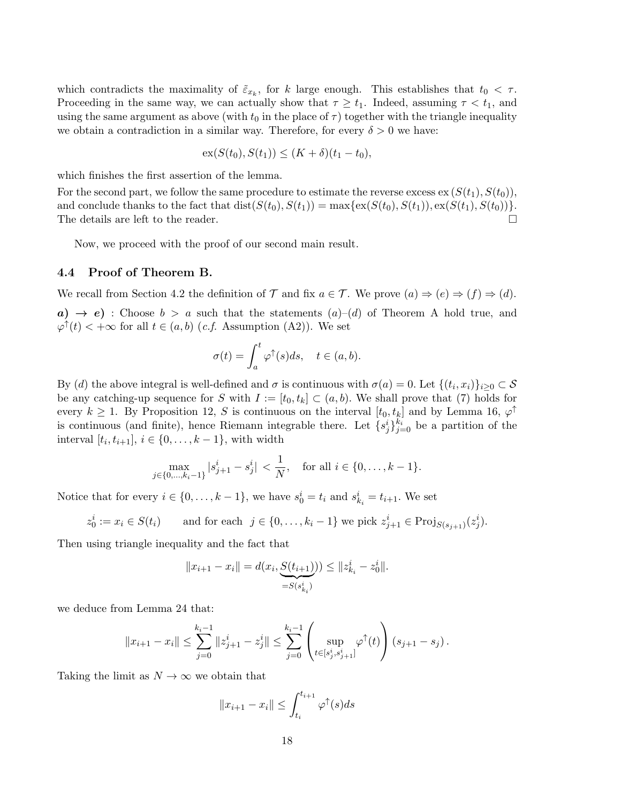which contradicts the maximality of  $\tilde{\varepsilon}_{x_k}$ , for k large enough. This establishes that  $t_0 < \tau$ . Proceeding in the same way, we can actually show that  $\tau \geq t_1$ . Indeed, assuming  $\tau < t_1$ , and using the same argument as above (with  $t_0$  in the place of  $\tau$ ) together with the triangle inequality we obtain a contradiction in a similar way. Therefore, for every  $\delta > 0$  we have:

$$
\mathrm{ex}(S(t_0), S(t_1)) \le (K + \delta)(t_1 - t_0),
$$

which finishes the first assertion of the lemma.

For the second part, we follow the same procedure to estimate the reverse excess  $\mathbf{ex}(S(t_1), S(t_0)),$ and conclude thanks to the fact that  $dist(S(t_0), S(t_1)) = max\{ex(S(t_0), S(t_1)), ex(S(t_1), S(t_0))\}.$ The details are left to the reader.

Now, we proceed with the proof of our second main result.

#### 4.4 Proof of Theorem B.

We recall from Section 4.2 the definition of  $\mathcal T$  and fix  $a \in \mathcal T$ . We prove  $(a) \Rightarrow (e) \Rightarrow (f) \Rightarrow (d)$ .

 $a) \rightarrow e$ ): Choose  $b > a$  such that the statements  $(a)$ – $(d)$  of Theorem A hold true, and  $\varphi^{\uparrow}(t) < +\infty$  for all  $t \in (a, b)$  (*c.f.* Assumption (A2)). We set

$$
\sigma(t) = \int_a^t \varphi^{\uparrow}(s)ds, \quad t \in (a, b).
$$

By (d) the above integral is well-defined and  $\sigma$  is continuous with  $\sigma(a) = 0$ . Let  $\{(t_i, x_i)\}_{i \geq 0} \subset \mathcal{S}$ be any catching-up sequence for S with  $I := [t_0, t_k] \subset (a, b)$ . We shall prove that (7) holds for every  $k \geq 1$ . By Proposition 12, S is continuous on the interval  $[t_0, t_k]$  and by Lemma 16,  $\varphi^{\uparrow}$ is continuous (and finite), hence Riemann integrable there. Let  $\{s_j^i\}_{j=0}^{k_i}$  be a partition of the interval  $[t_i, t_{i+1}], i \in \{0, \ldots, k-1\}$ , with width

$$
\max_{j \in \{0, \ldots, k_i - 1\}} |s_{j+1}^i - s_j^i| < \frac{1}{N}, \quad \text{for all } i \in \{0, \ldots, k - 1\}.
$$

Notice that for every  $i \in \{0, \ldots, k-1\}$ , we have  $s_0^i = t_i$  and  $s_{k_i}^i = t_{i+1}$ . We set

$$
z_0^i := x_i \in S(t_i)
$$
 and for each  $j \in \{0, ..., k_i - 1\}$  we pick  $z_{j+1}^i \in \text{Proj}_{S(s_{j+1})}(z_j^i)$ .

Then using triangle inequality and the fact that

$$
||x_{i+1} - x_i|| = d(x_i, \underbrace{S(t_{i+1})}_{=S(s_{k_i}^i)}) \le ||z_{k_i}^i - z_0^i||.
$$

we deduce from Lemma 24 that:

$$
||x_{i+1} - x_i|| \leq \sum_{j=0}^{k_i-1} ||z_{j+1}^i - z_j^i|| \leq \sum_{j=0}^{k_i-1} \left( \sup_{t \in [s_j^i, s_{j+1}^i]} \varphi^{\uparrow}(t) \right) (s_{j+1} - s_j).
$$

Taking the limit as  $N \to \infty$  we obtain that

$$
||x_{i+1} - x_i|| \le \int_{t_i}^{t_{i+1}} \varphi^{\uparrow}(s) ds
$$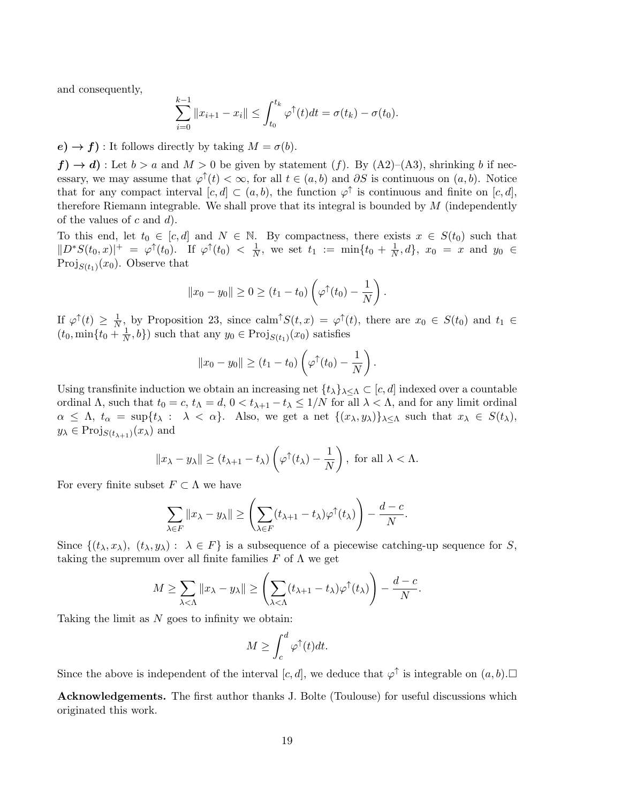and consequently,

$$
\sum_{i=0}^{k-1} ||x_{i+1} - x_i|| \le \int_{t_0}^{t_k} \varphi^{\uparrow}(t) dt = \sigma(t_k) - \sigma(t_0).
$$

 $e) \rightarrow f$ ): It follows directly by taking  $M = \sigma(b)$ .

 $f \rightarrow d$ ): Let  $b > a$  and  $M > 0$  be given by statement  $(f)$ . By  $(A2)$ – $(A3)$ , shrinking b if necessary, we may assume that  $\varphi^{\uparrow}(t) < \infty$ , for all  $t \in (a, b)$  and  $\partial S$  is continuous on  $(a, b)$ . Notice that for any compact interval  $[c, d] \subset (a, b)$ , the function  $\varphi^{\uparrow}$  is continuous and finite on  $[c, d]$ , therefore Riemann integrable. We shall prove that its integral is bounded by  $M$  (independently of the values of  $c$  and  $d$ ).

To this end, let  $t_0 \in [c, d]$  and  $N \in \mathbb{N}$ . By compactness, there exists  $x \in S(t_0)$  such that  $||D^*S(t_0,x)||^+ = \varphi^{\uparrow}(t_0).$  If  $\varphi^{\uparrow}(t_0) < \frac{1}{N}$  $\frac{1}{N}$ , we set  $t_1 := \min\{t_0 + \frac{1}{N}\}$  $\frac{1}{N}, d$ ,  $x_0 = x$  and  $y_0 \in$ Proj $s(t_1)(x_0)$ . Observe that

$$
||x_0-y_0||\geq 0\geq (t_1-t_0)\left(\varphi^{\uparrow}(t_0)-\frac{1}{N}\right).
$$

If  $\varphi^{\uparrow}(t) \geq \frac{1}{N}$  $\frac{1}{N}$ , by Proposition 23, since calm<sup> $\uparrow S(t,x) = \varphi^{\uparrow}(t)$ , there are  $x_0 \in S(t_0)$  and  $t_1 \in$ </sup>  $(t_0, \min\{t_0 + \frac{1}{N}\})$  $(\frac{1}{N},b)$  such that any  $y_0 \in \text{Proj}_{S(t_1)}(x_0)$  satisfies

$$
||x_0-y_0|| \ge (t_1-t_0)\left(\varphi^{\uparrow}(t_0)-\frac{1}{N}\right).
$$

Using transfinite induction we obtain an increasing net  $\{t_\lambda\}_{\lambda\leq\Lambda}\subset[c,d]$  indexed over a countable ordinal  $\Lambda$ , such that  $t_0 = c$ ,  $t_\Lambda = d$ ,  $0 < t_{\lambda+1} - t_\lambda \leq 1/N$  for all  $\lambda < \Lambda$ , and for any limit ordinal  $\alpha \leq \Lambda$ ,  $t_{\alpha} = \sup\{t_{\lambda} : \lambda < \alpha\}$ . Also, we get a net  $\{(x_{\lambda}, y_{\lambda})\}_{\lambda \leq \Lambda}$  such that  $x_{\lambda} \in S(t_{\lambda})$ ,  $y_{\lambda} \in \mathrm{Proj}_{S(t_{\lambda+1})}(x_{\lambda})$  and

$$
||x_{\lambda} - y_{\lambda}|| \ge (t_{\lambda+1} - t_{\lambda}) \left(\varphi^{\uparrow}(t_{\lambda}) - \frac{1}{N}\right)
$$
, for all  $\lambda < \Lambda$ .

For every finite subset  $F \subset \Lambda$  we have

$$
\sum_{\lambda \in F} ||x_{\lambda} - y_{\lambda}|| \ge \left(\sum_{\lambda \in F} (t_{\lambda+1} - t_{\lambda}) \varphi^{\uparrow}(t_{\lambda})\right) - \frac{d - c}{N}.
$$

Since  $\{(t_\lambda, x_\lambda), (t_\lambda, y_\lambda): \lambda \in F\}$  is a subsequence of a piecewise catching-up sequence for S, taking the supremum over all finite families F of  $\Lambda$  we get

$$
M \geq \sum_{\lambda < \Lambda} \|x_{\lambda} - y_{\lambda}\| \geq \left(\sum_{\lambda < \Lambda} (t_{\lambda+1} - t_{\lambda}) \varphi^{\uparrow}(t_{\lambda})\right) - \frac{d - c}{N}.
$$

Taking the limit as  $N$  goes to infinity we obtain:

$$
M \ge \int_c^d \varphi^\uparrow(t) dt.
$$

Since the above is independent of the interval  $[c, d]$ , we deduce that  $\varphi^{\uparrow}$  is integrable on  $(a, b)$ .

Acknowledgements. The first author thanks J. Bolte (Toulouse) for useful discussions which originated this work.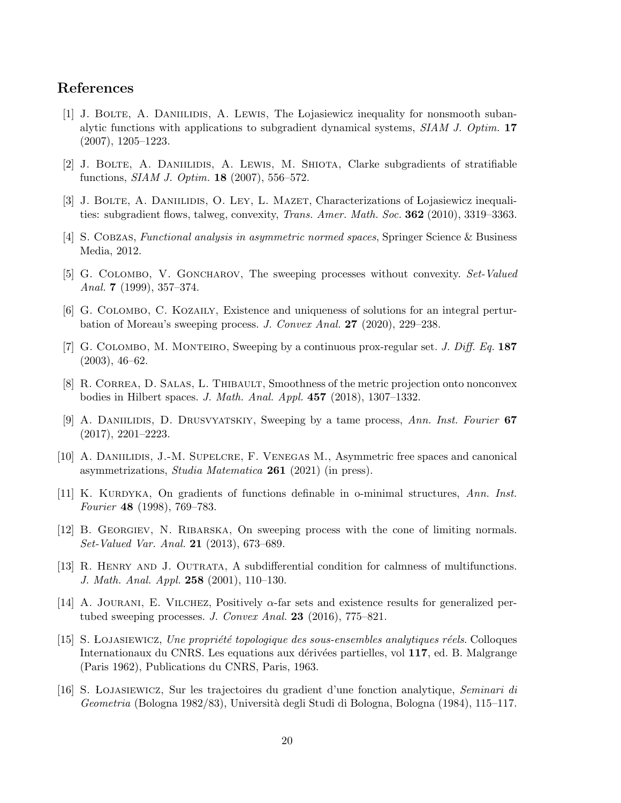## References

- [1] J. Bolte, A. Daniilidis, A. Lewis, The Lojasiewicz inequality for nonsmooth subanalytic functions with applications to subgradient dynamical systems, SIAM J. Optim. 17 (2007), 1205–1223.
- [2] J. Bolte, A. Daniilidis, A. Lewis, M. Shiota, Clarke subgradients of stratifiable functions, SIAM J. Optim. 18 (2007), 556–572.
- [3] J. BOLTE, A. DANIILIDIS, O. LEY, L. MAZET, Characterizations of Lojasiewicz inequalities: subgradient flows, talweg, convexity, Trans. Amer. Math. Soc. 362 (2010), 3319–3363.
- [4] S. Cobzas, Functional analysis in asymmetric normed spaces, Springer Science & Business Media, 2012.
- [5] G. Colombo, V. Goncharov, The sweeping processes without convexity. Set-Valued Anal. 7 (1999),  $357-374$ .
- [6] G. Colombo, C. Kozaily, Existence and uniqueness of solutions for an integral perturbation of Moreau's sweeping process. J. Convex Anal. 27 (2020), 229–238.
- [7] G. COLOMBO, M. MONTEIRO, Sweeping by a continuous prox-regular set. *J. Diff. Eq.* 187 (2003), 46–62.
- [8] R. CORREA, D. SALAS, L. THIBAULT, Smoothness of the metric projection onto nonconvex bodies in Hilbert spaces. J. Math. Anal. Appl. 457 (2018), 1307–1332.
- [9] A. DANIILIDIS, D. DRUSVYATSKIY, Sweeping by a tame process, Ann. Inst. Fourier 67 (2017), 2201–2223.
- [10] A. Daniilidis, J.-M. Supelcre, F. Venegas M., Asymmetric free spaces and canonical asymmetrizations, Studia Matematica 261 (2021) (in press).
- [11] K. KURDYKA, On gradients of functions definable in o-minimal structures, Ann. Inst. Fourier 48 (1998), 769–783.
- [12] B. Georgiev, N. Ribarska, On sweeping process with the cone of limiting normals. Set-Valued Var. Anal. 21 (2013), 673–689.
- [13] R. Henry and J. Outrata, A subdifferential condition for calmness of multifunctions. J. Math. Anal. Appl. 258 (2001), 110–130.
- [14] A. JOURANI, E. VILCHEZ, Positively  $\alpha$ -far sets and existence results for generalized pertubed sweeping processes. J. Convex Anal.  $23$  (2016), 775–821.
- [15] S. LOJASIEWICZ, Une propriété topologique des sous-ensembles analytiques réels. Colloques Internationaux du CNRS. Les equations aux dérivées partielles, vol 117, ed. B. Malgrange (Paris 1962), Publications du CNRS, Paris, 1963.
- [16] S. Lojasiewicz, Sur les trajectoires du gradient d'une fonction analytique, Seminari di Geometria (Bologna 1982/83), Università degli Studi di Bologna, Bologna (1984), 115–117.